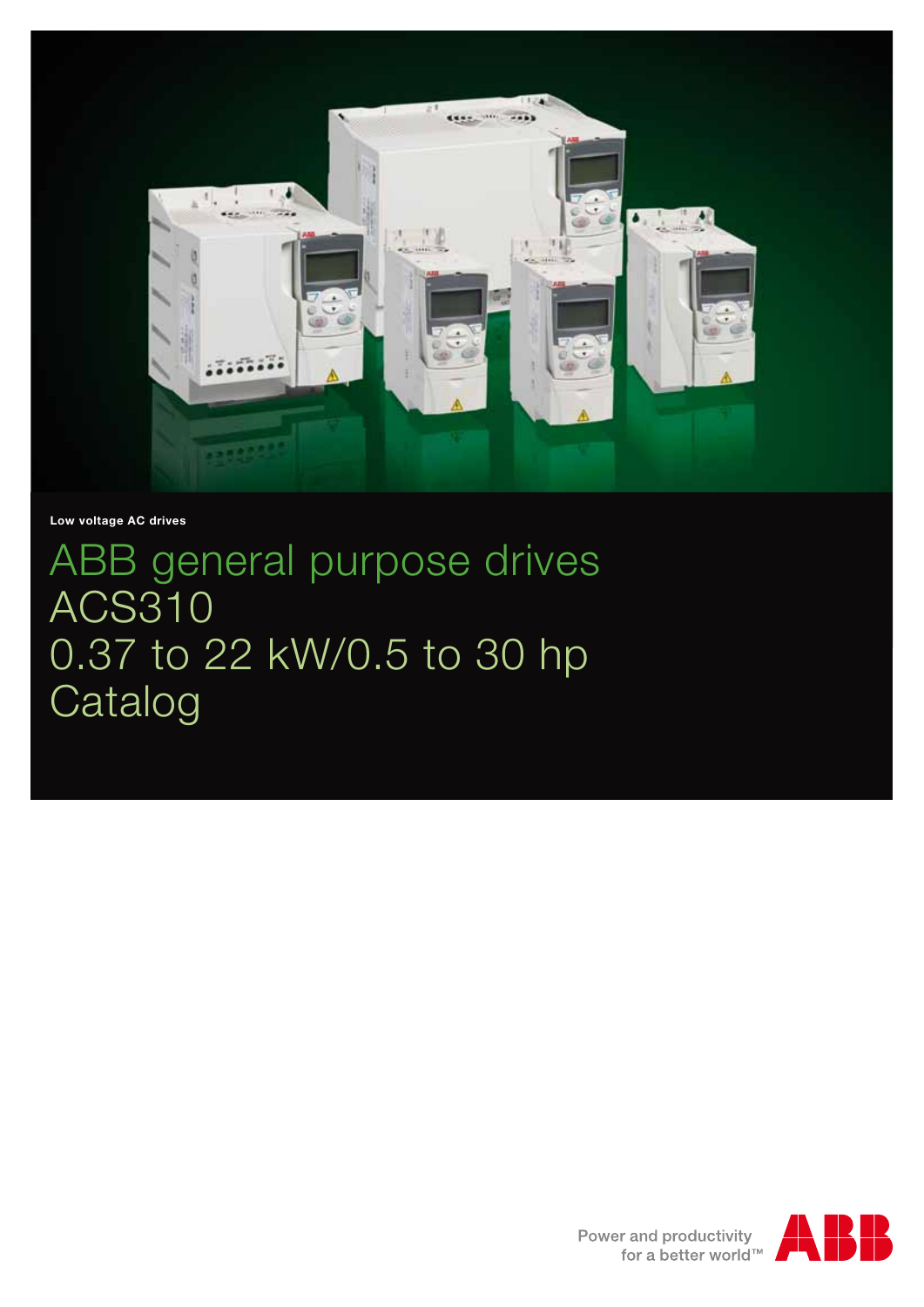

**Low voltage AC drives**

ABB general purpose drives ACS310 0.37 to 22 kW/0.5 to 30 hp Catalog

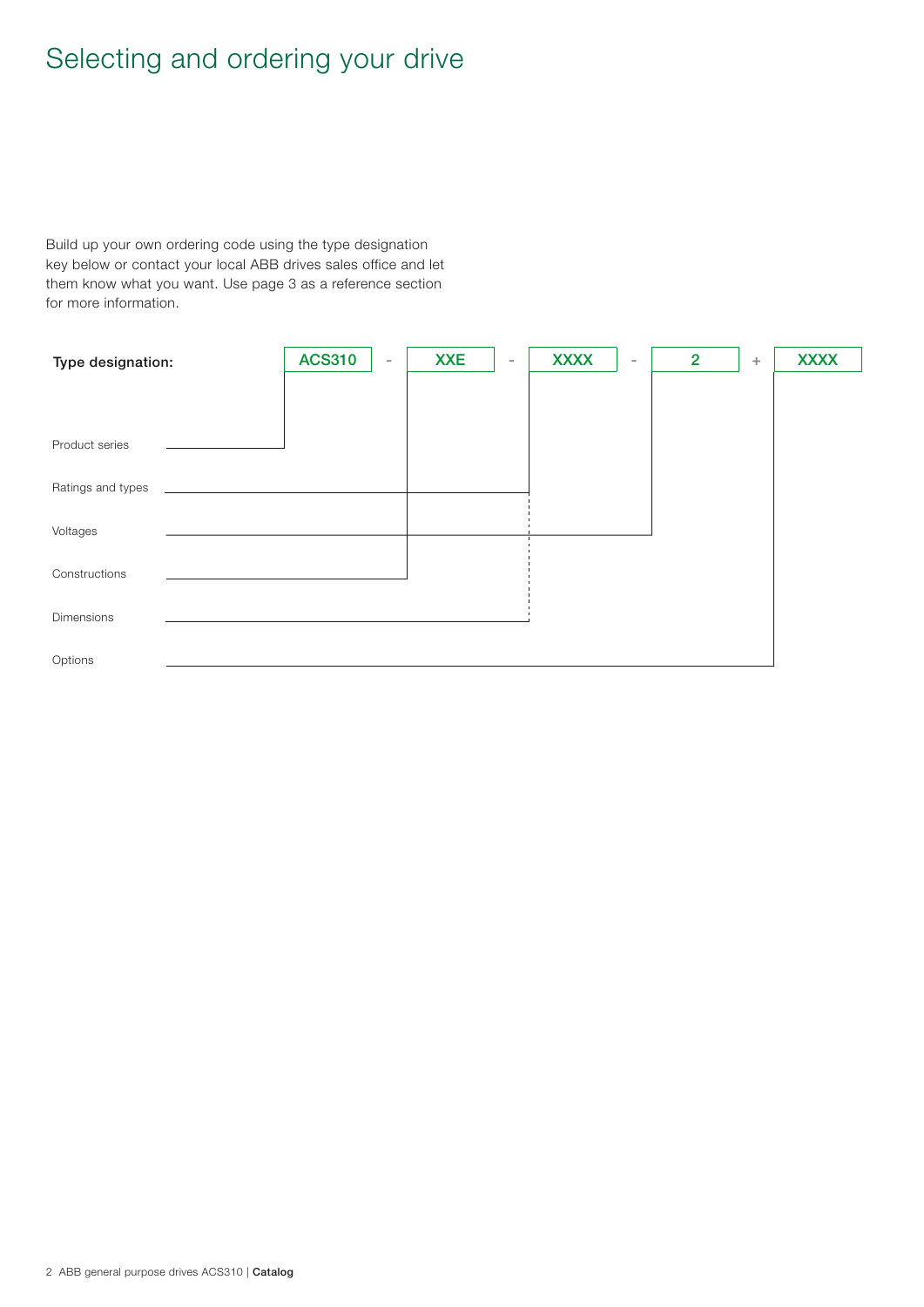# Selecting and ordering your drive

Build up your own ordering code using the type designation key below or contact your local ABB drives sales office and let them know what you want. Use page 3 as a reference section for more information.

| Type designation: | <b>ACS310</b> | $\overline{\phantom{a}}$ | <b>XXE</b> | $\sim$ | <b>XXXX</b> | $\overline{\phantom{a}}$ | $\overline{2}$ | ÷ | <b>XXXX</b> |
|-------------------|---------------|--------------------------|------------|--------|-------------|--------------------------|----------------|---|-------------|
|                   |               |                          |            |        |             |                          |                |   |             |
| Product series    |               |                          |            |        |             |                          |                |   |             |
| Ratings and types |               |                          |            |        |             |                          |                |   |             |
| Voltages          |               |                          |            |        |             |                          |                |   |             |
| Constructions     |               |                          |            |        |             |                          |                |   |             |
| Dimensions        |               |                          |            |        |             |                          |                |   |             |
| Options           |               |                          |            |        |             |                          |                |   |             |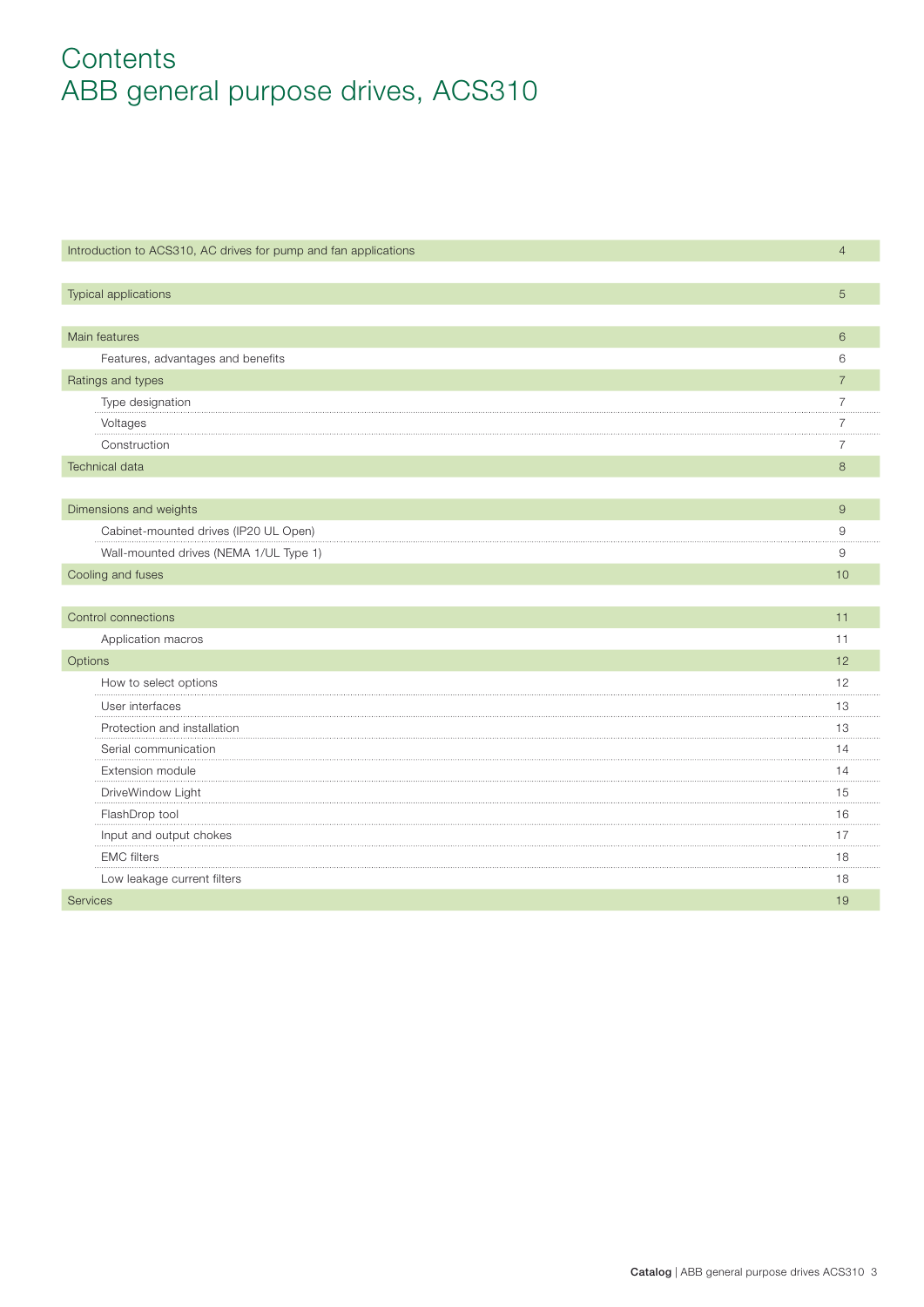# **Contents** ABB general purpose drives, ACS310

| Introduction to ACS310, AC drives for pump and fan applications | $\overline{4}$ |
|-----------------------------------------------------------------|----------------|
| Typical applications                                            | 5              |
|                                                                 |                |
| Main features                                                   | 6              |
| Features, advantages and benefits                               | 6              |
| Ratings and types                                               | $\overline{7}$ |
| Type designation                                                | 7              |
| Voltages                                                        | $\overline{7}$ |
| Construction                                                    | 7              |
| <b>Technical data</b>                                           | 8              |
|                                                                 |                |
| Dimensions and weights                                          | $\hbox{9}$     |
| Cabinet-mounted drives (IP20 UL Open)                           | 9              |
| Wall-mounted drives (NEMA 1/UL Type 1)                          | 9              |
| Cooling and fuses                                               | 10             |
|                                                                 |                |
| Control connections                                             | 11             |
| Application macros                                              | 11             |
| Options                                                         | 12             |
| How to select options                                           | 12             |
| User interfaces                                                 | 13             |
| Protection and installation                                     | 13             |
| Serial communication                                            | 14             |
| Extension module                                                | 14             |
| DriveWindow Light                                               | 15             |
| FlashDrop tool                                                  | 16             |
| Input and output chokes                                         | 17             |
| <b>EMC</b> filters                                              | 18             |
| Low leakage current filters                                     | 18             |
| <b>Services</b>                                                 | 19             |
|                                                                 |                |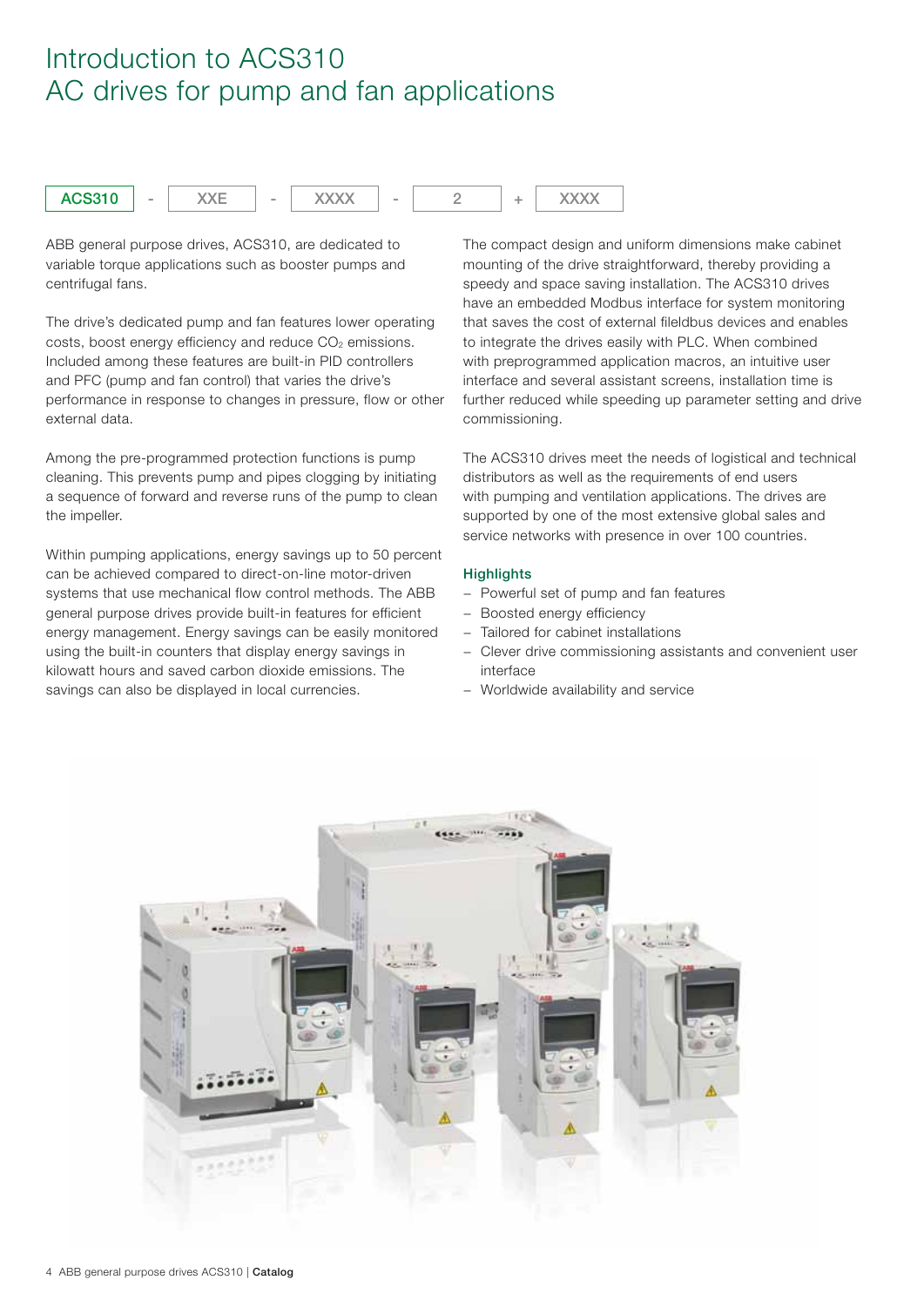## Introduction to ACS310 AC drives for pump and fan applications



ABB general purpose drives, ACS310, are dedicated to variable torque applications such as booster pumps and centrifugal fans.

The drive's dedicated pump and fan features lower operating costs, boost energy efficiency and reduce  $CO<sub>2</sub>$  emissions. Included among these features are built-in PID controllers and PFC (pump and fan control) that varies the drive's performance in response to changes in pressure, flow or other external data.

Among the pre-programmed protection functions is pump cleaning. This prevents pump and pipes clogging by initiating a sequence of forward and reverse runs of the pump to clean the impeller.

Within pumping applications, energy savings up to 50 percent can be achieved compared to direct-on-line motor-driven systems that use mechanical flow control methods. The ABB general purpose drives provide built-in features for efficient energy management. Energy savings can be easily monitored using the built-in counters that display energy savings in kilowatt hours and saved carbon dioxide emissions. The savings can also be displayed in local currencies.

The compact design and uniform dimensions make cabinet mounting of the drive straightforward, thereby providing a speedy and space saving installation. The ACS310 drives have an embedded Modbus interface for system monitoring that saves the cost of external fileldbus devices and enables to integrate the drives easily with PLC. When combined with preprogrammed application macros, an intuitive user interface and several assistant screens, installation time is further reduced while speeding up parameter setting and drive commissioning.

The ACS310 drives meet the needs of logistical and technical distributors as well as the requirements of end users with pumping and ventilation applications. The drives are supported by one of the most extensive global sales and service networks with presence in over 100 countries.

## **Highlights**

- − Powerful set of pump and fan features
- − Boosted energy efficiency
- Tailored for cabinet installations
- − Clever drive commissioning assistants and convenient user interface
- − Worldwide availability and service

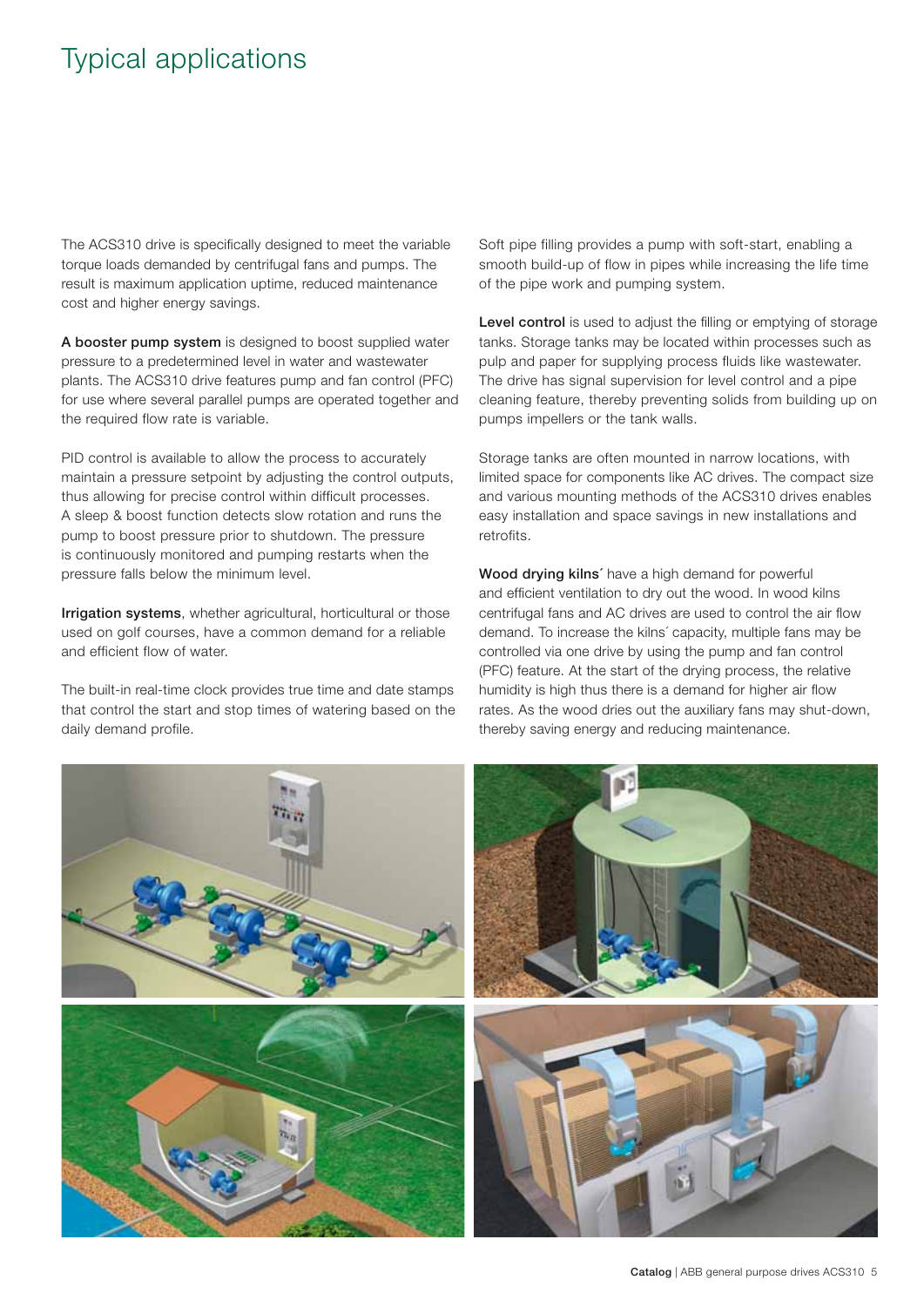## Typical applications

The ACS310 drive is specifically designed to meet the variable torque loads demanded by centrifugal fans and pumps. The result is maximum application uptime, reduced maintenance cost and higher energy savings.

**A booster pump system** is designed to boost supplied water pressure to a predetermined level in water and wastewater plants. The ACS310 drive features pump and fan control (PFC) for use where several parallel pumps are operated together and the required flow rate is variable.

PID control is available to allow the process to accurately maintain a pressure setpoint by adjusting the control outputs, thus allowing for precise control within difficult processes. A sleep & boost function detects slow rotation and runs the pump to boost pressure prior to shutdown. The pressure is continuously monitored and pumping restarts when the pressure falls below the minimum level.

**Irrigation systems**, whether agricultural, horticultural or those used on golf courses, have a common demand for a reliable and efficient flow of water.

The built-in real-time clock provides true time and date stamps that control the start and stop times of watering based on the daily demand profile.

Soft pipe filling provides a pump with soft-start, enabling a smooth build-up of flow in pipes while increasing the life time of the pipe work and pumping system.

**Level control** is used to adjust the filling or emptying of storage tanks. Storage tanks may be located within processes such as pulp and paper for supplying process fluids like wastewater. The drive has signal supervision for level control and a pipe cleaning feature, thereby preventing solids from building up on pumps impellers or the tank walls.

Storage tanks are often mounted in narrow locations, with limited space for components like AC drives. The compact size and various mounting methods of the ACS310 drives enables easy installation and space savings in new installations and retrofits.

**Wood drying kilns´** have a high demand for powerful and efficient ventilation to dry out the wood. In wood kilns centrifugal fans and AC drives are used to control the air flow demand. To increase the kilns´ capacity, multiple fans may be controlled via one drive by using the pump and fan control (PFC) feature. At the start of the drying process, the relative humidity is high thus there is a demand for higher air flow rates. As the wood dries out the auxiliary fans may shut-down, thereby saving energy and reducing maintenance.

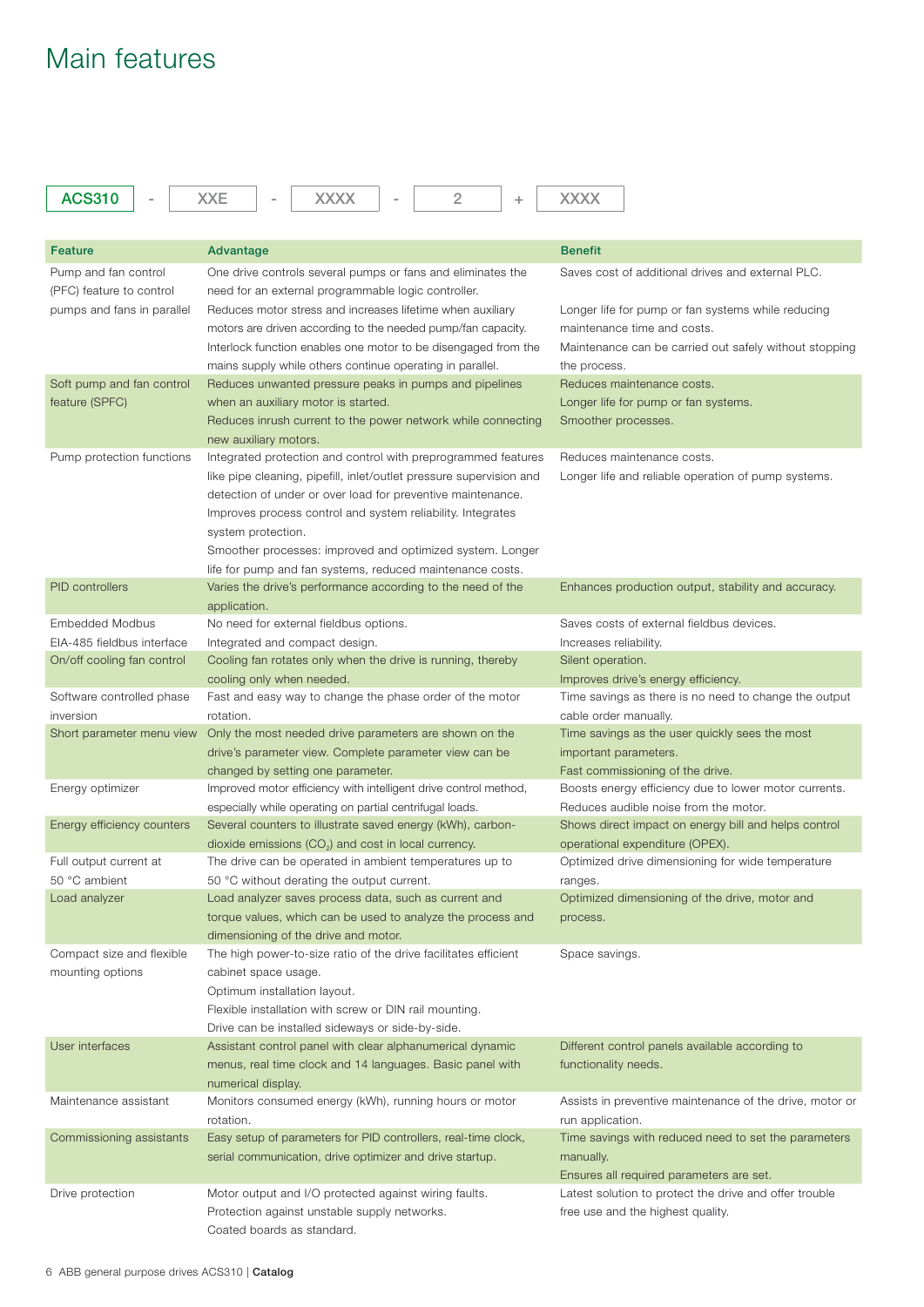## Main features

| <b>ACS310</b>              | <b>XXE</b><br><b>XXXX</b><br>2<br>÷                                 | <b>XXXX</b>                                              |
|----------------------------|---------------------------------------------------------------------|----------------------------------------------------------|
|                            |                                                                     |                                                          |
| <b>Feature</b>             | Advantage                                                           | <b>Benefit</b>                                           |
| Pump and fan control       | One drive controls several pumps or fans and eliminates the         | Saves cost of additional drives and external PLC.        |
| (PFC) feature to control   | need for an external programmable logic controller.                 |                                                          |
| pumps and fans in parallel | Reduces motor stress and increases lifetime when auxiliary          | Longer life for pump or fan systems while reducing       |
|                            | motors are driven according to the needed pump/fan capacity.        | maintenance time and costs.                              |
|                            | Interlock function enables one motor to be disengaged from the      | Maintenance can be carried out safely without stopping   |
|                            | mains supply while others continue operating in parallel.           | the process.                                             |
| Soft pump and fan control  | Reduces unwanted pressure peaks in pumps and pipelines              | Reduces maintenance costs.                               |
| feature (SPFC)             | when an auxiliary motor is started.                                 | Longer life for pump or fan systems.                     |
|                            | Reduces inrush current to the power network while connecting        | Smoother processes.                                      |
|                            | new auxiliary motors.                                               |                                                          |
| Pump protection functions  | Integrated protection and control with preprogrammed features       | Reduces maintenance costs.                               |
|                            | like pipe cleaning, pipefill, inlet/outlet pressure supervision and | Longer life and reliable operation of pump systems.      |
|                            | detection of under or over load for preventive maintenance.         |                                                          |
|                            | Improves process control and system reliability. Integrates         |                                                          |
|                            | system protection.                                                  |                                                          |
|                            | Smoother processes: improved and optimized system. Longer           |                                                          |
|                            | life for pump and fan systems, reduced maintenance costs.           |                                                          |
| <b>PID</b> controllers     | Varies the drive's performance according to the need of the         | Enhances production output, stability and accuracy.      |
|                            | application.                                                        |                                                          |
| <b>Embedded Modbus</b>     | No need for external fieldbus options.                              | Saves costs of external fieldbus devices.                |
| EIA-485 fieldbus interface | Integrated and compact design.                                      | Increases reliability.                                   |
| On/off cooling fan control | Cooling fan rotates only when the drive is running, thereby         | Silent operation.                                        |
|                            | cooling only when needed.                                           | Improves drive's energy efficiency.                      |
| Software controlled phase  | Fast and easy way to change the phase order of the motor            | Time savings as there is no need to change the output    |
| inversion                  | rotation.                                                           | cable order manually.                                    |
| Short parameter menu view  | Only the most needed drive parameters are shown on the              | Time savings as the user quickly sees the most           |
|                            | drive's parameter view. Complete parameter view can be              | important parameters.                                    |
|                            | changed by setting one parameter.                                   | Fast commissioning of the drive.                         |
| Energy optimizer           | Improved motor efficiency with intelligent drive control method,    | Boosts energy efficiency due to lower motor currents.    |
|                            | especially while operating on partial centrifugal loads.            | Reduces audible noise from the motor.                    |
| Energy efficiency counters | Several counters to illustrate saved energy (kWh), carbon-          | Shows direct impact on energy bill and helps control     |
|                            | dioxide emissions $(CO2)$ and cost in local currency.               | operational expenditure (OPEX).                          |
| Full output current at     | The drive can be operated in ambient temperatures up to             | Optimized drive dimensioning for wide temperature        |
| 50 °C ambient              | 50 °C without derating the output current.                          | ranges.                                                  |
| Load analyzer              | Load analyzer saves process data, such as current and               | Optimized dimensioning of the drive, motor and           |
|                            | torque values, which can be used to analyze the process and         | process.                                                 |
|                            | dimensioning of the drive and motor.                                |                                                          |
| Compact size and flexible  | The high power-to-size ratio of the drive facilitates efficient     | Space savings.                                           |
| mounting options           | cabinet space usage.                                                |                                                          |
|                            | Optimum installation layout.                                        |                                                          |
|                            | Flexible installation with screw or DIN rail mounting.              |                                                          |
|                            | Drive can be installed sideways or side-by-side.                    |                                                          |
| User interfaces            | Assistant control panel with clear alphanumerical dynamic           | Different control panels available according to          |
|                            | menus, real time clock and 14 languages. Basic panel with           | functionality needs.                                     |
|                            | numerical display.                                                  |                                                          |
| Maintenance assistant      | Monitors consumed energy (kWh), running hours or motor              | Assists in preventive maintenance of the drive, motor or |
|                            | rotation.                                                           | run application.                                         |
| Commissioning assistants   | Easy setup of parameters for PID controllers, real-time clock,      | Time savings with reduced need to set the parameters     |
|                            | serial communication, drive optimizer and drive startup.            | manually.                                                |
|                            |                                                                     | Ensures all required parameters are set.                 |
| Drive protection           | Motor output and I/O protected against wiring faults.               | Latest solution to protect the drive and offer trouble   |
|                            | Protection against unstable supply networks.                        | free use and the highest quality.                        |
|                            | Coated boards as standard.                                          |                                                          |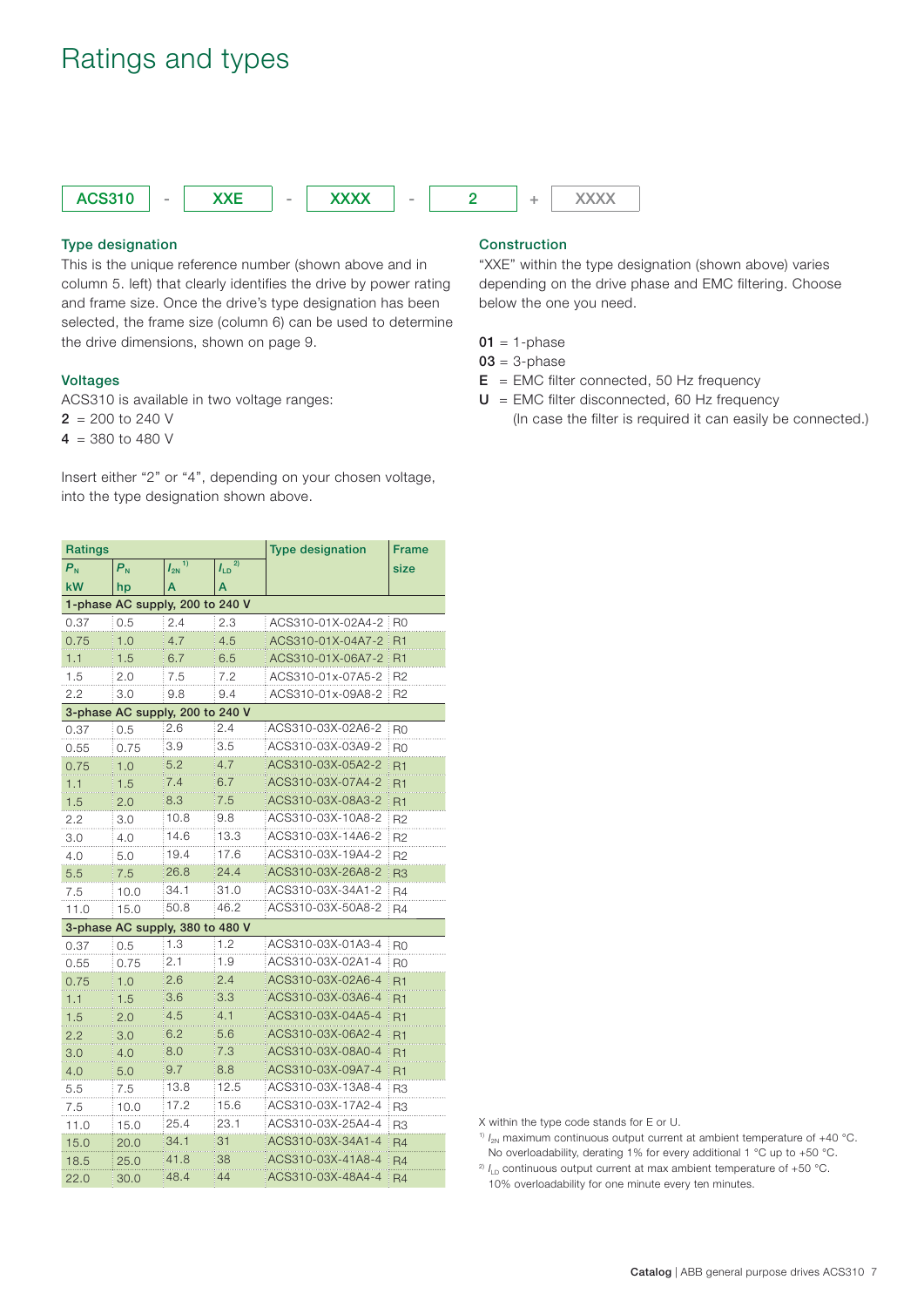## Ratings and types



## **Type designation**

This is the unique reference number (shown above and in column 5. left) that clearly identifies the drive by power rating and frame size. Once the drive's type designation has been selected, the frame size (column 6) can be used to determine the drive dimensions, shown on page 9.

### **Voltages**

ACS310 is available in two voltage ranges:

- $2 = 200$  to 240 V
- $4 = 380$  to 480 V

Insert either "2" or "4", depending on your chosen voltage, into the type designation shown above.

| <b>Ratings</b>            |         | <b>Type designation</b>         | <b>Frame</b>   |                   |                |
|---------------------------|---------|---------------------------------|----------------|-------------------|----------------|
| $\mathsf{P}_{\mathsf{N}}$ | $P_{N}$ | 1)<br>$I_{2N}$                  | 2)<br>$I_{LD}$ |                   | size           |
| kW                        | hp      | A                               | A              |                   |                |
|                           |         | 1-phase AC supply, 200 to 240 V |                |                   |                |
| 0.37                      | 0.5     | 2.4                             | 2.3            | ACS310-01X-02A4-2 | R <sub>0</sub> |
| 0.75                      | 1.0     | 4.7                             | 4.5            | ACS310-01X-04A7-2 | R1             |
| 1.1                       | 1.5     | 6.7                             | 6.5            | ACS310-01X-06A7-2 | R <sub>1</sub> |
| 1.5                       | 2.0     | 7.5                             | 7.2            | ACS310-01x-07A5-2 | R <sub>2</sub> |
| 2.2                       | 3.0     | 9.8                             | 9.4            | ACS310-01x-09A8-2 | R <sub>2</sub> |
|                           |         | 3-phase AC supply, 200 to 240 V |                |                   |                |
| 0.37                      | 0.5     | 2.6                             | 2.4            | ACS310-03X-02A6-2 | R <sub>0</sub> |
| 0.55                      | 0.75    | 3.9                             | 3.5            | ACS310-03X-03A9-2 | R <sub>0</sub> |
| 0.75                      | 1.0     | 5.2                             | 4.7            | ACS310-03X-05A2-2 | R1             |
| 1.1                       | 1.5     | 7.4                             | 6.7            | ACS310-03X-07A4-2 | R1             |
| 1.5                       | 2.0     | 8.3                             | 7.5            | ACS310-03X-08A3-2 | R1             |
| 2.2                       | 3.0     | 10.8                            | 9.8            | ACS310-03X-10A8-2 | R <sub>2</sub> |
| 3.0                       | 4.0     | 14.6                            | 13.3           | ACS310-03X-14A6-2 | R <sub>2</sub> |
| 4.0                       | 5.0     | 19.4                            | 17.6           | ACS310-03X-19A4-2 | R <sub>2</sub> |
| 5.5                       | 7.5     | 26.8                            | 24.4           | ACS310-03X-26A8-2 | R <sub>3</sub> |
| 7.5                       | 10.0    | 34.1                            | 31.0           | ACS310-03X-34A1-2 | R4             |
| 11.0                      | 15.0    | 50.8                            | 46.2           | ACS310-03X-50A8-2 | R <sub>4</sub> |
|                           |         | 3-phase AC supply, 380 to 480 V |                |                   |                |
| 0.37                      | 0.5     | 1.3                             | 1.2            | ACS310-03X-01A3-4 | R <sub>0</sub> |
| 0.55                      | 0.75    | 2.1                             | 1.9            | ACS310-03X-02A1-4 | R <sub>0</sub> |
| 0.75                      | 1.0     | 2.6                             | 2.4            | ACS310-03X-02A6-4 | R <sub>1</sub> |
| 1.1                       | 1.5     | 3.6                             | 3.3            | ACS310-03X-03A6-4 | R <sub>1</sub> |
| 1.5                       | 2.0     | 4.5                             | 4.1            | ACS310-03X-04A5-4 | R1             |
| 2.2                       | 3.0     | 6.2                             | 5.6            | ACS310-03X-06A2-4 | R <sub>1</sub> |
| 3.0                       | 4.0     | 8.0                             | 7.3            | ACS310-03X-08A0-4 | R1             |
| 4.0                       | 5.0     | 9.7                             | 8.8            | ACS310-03X-09A7-4 | R <sub>1</sub> |
| 5.5                       | 7.5     | 13.8                            | 12.5           | ACS310-03X-13A8-4 | R <sub>3</sub> |
| 7.5                       | 10.0    | 17.2                            | 15.6           | ACS310-03X-17A2-4 | R <sub>3</sub> |
| 11.0                      | 15.0    | 25.4                            | 23.1           | ACS310-03X-25A4-4 | R <sub>3</sub> |
| 15.0                      | 20.0    | 34.1                            | 31             | ACS310-03X-34A1-4 | R <sub>4</sub> |
| 18.5                      | 25.0    | 41.8                            | 38             | ACS310-03X-41A8-4 | R <sub>4</sub> |
| 22.0                      | 30.0    | 48.4                            | 44             | ACS310-03X-48A4-4 | R <sub>4</sub> |

## **Construction**

"XXE" within the type designation (shown above) varies depending on the drive phase and EMC filtering. Choose below the one you need.

 $01 = 1$ -phase

- **03** = 3-phase
- **E** = EMC filter connected, 50 Hz frequency
- $U =$  EMC filter disconnected, 60 Hz frequency (In case the filter is required it can easily be connected.)

X within the type code stands for E or U.

- <sup>1)</sup>  $I_{2N}$  maximum continuous output current at ambient temperature of  $+40$  °C.
- No overloadability, derating 1% for every additional 1 °C up to +50 °C. <sup>2)</sup>  $I_{\text{LD}}$  continuous output current at max ambient temperature of +50 °C.

10% overloadability for one minute every ten minutes.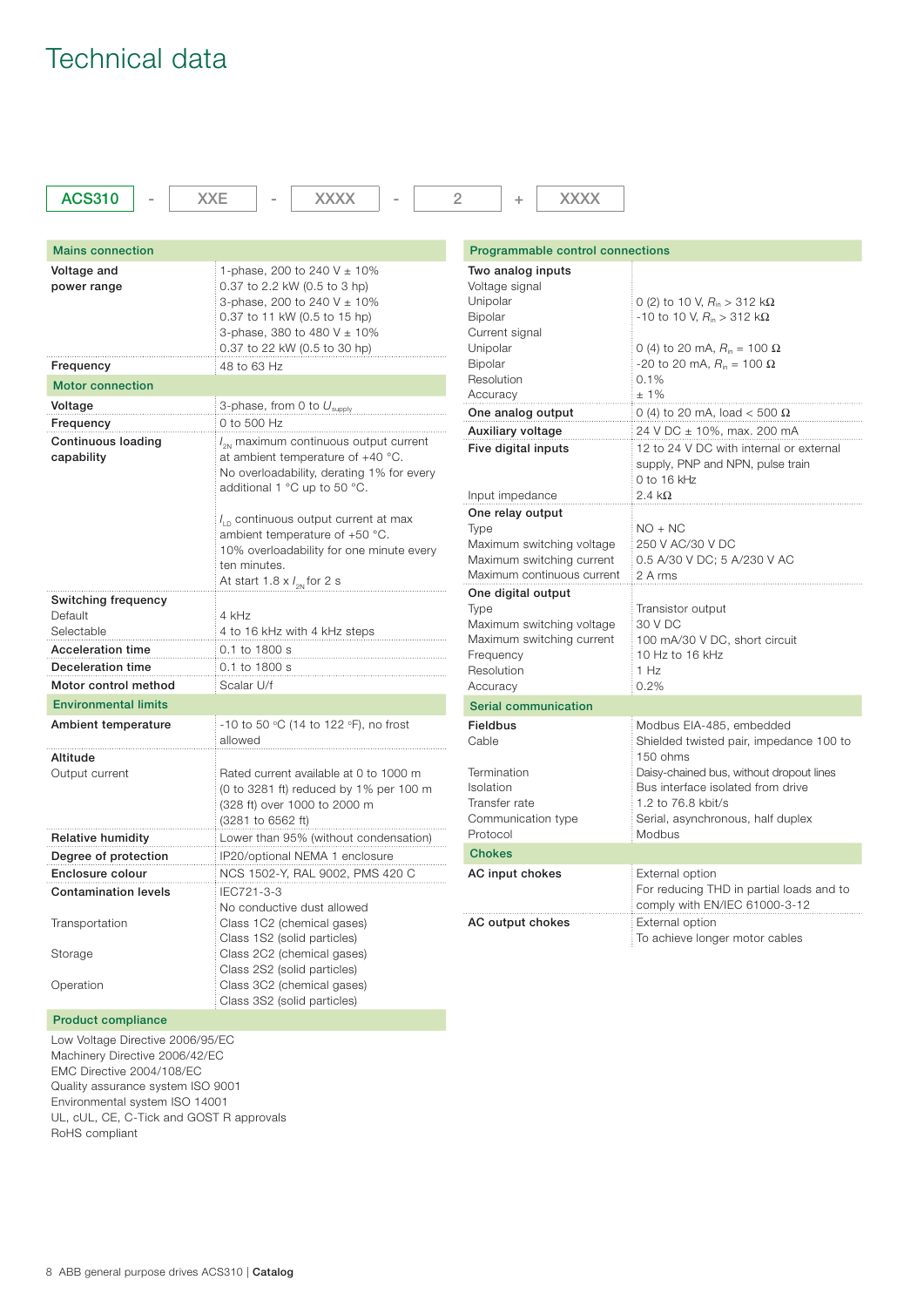## Technical data

| <b>ACS310</b>                                | <b>XXE</b><br><b>XXXX</b>                                                                                                                                                                         | 2<br><b>XXXX</b><br>÷                                                                                            |                                                                                                                                                      |  |
|----------------------------------------------|---------------------------------------------------------------------------------------------------------------------------------------------------------------------------------------------------|------------------------------------------------------------------------------------------------------------------|------------------------------------------------------------------------------------------------------------------------------------------------------|--|
|                                              |                                                                                                                                                                                                   |                                                                                                                  |                                                                                                                                                      |  |
| <b>Mains connection</b>                      |                                                                                                                                                                                                   | Programmable control connections                                                                                 |                                                                                                                                                      |  |
| Voltage and<br>power range                   | 1-phase, 200 to 240 V $\pm$ 10%<br>0.37 to 2.2 kW (0.5 to 3 hp)<br>3-phase, 200 to 240 V $\pm$ 10%<br>0.37 to 11 kW (0.5 to 15 hp)<br>3-phase, 380 to 480 V ± 10%<br>0.37 to 22 kW (0.5 to 30 hp) | Two analog inputs<br>Voltage signal<br>Unipolar<br><b>Bipolar</b><br>Current signal<br>Unipolar                  | 0 (2) to 10 V, $R_{\rm in} > 312$ k $\Omega$<br>-10 to 10 V, $R_{\text{in}} > 312 \text{ k}\Omega$<br>0 (4) to 20 mA, $R_{\text{in}} = 100 \Omega$   |  |
| Frequency                                    | 48 to 63 Hz                                                                                                                                                                                       | <b>Bipolar</b>                                                                                                   | -20 to 20 mA, $R_{\text{in}}$ = 100 Ω                                                                                                                |  |
| <b>Motor connection</b>                      |                                                                                                                                                                                                   | Resolution                                                                                                       | 0.1%                                                                                                                                                 |  |
| Voltage                                      | 3-phase, from 0 to $U_{\text{subolv}}$                                                                                                                                                            | Accuracy                                                                                                         | $±1\%$                                                                                                                                               |  |
| Frequency                                    | 0 to 500 Hz                                                                                                                                                                                       | One analog output                                                                                                | 0 (4) to 20 mA, load < 500 $\Omega$                                                                                                                  |  |
| <b>Continuous loading</b><br>capability      | $l_{\rm on}$ maximum continuous output current<br>at ambient temperature of +40 °C.<br>No overloadability, derating 1% for every<br>additional 1 °C up to 50 °C.                                  | Auxiliary voltage<br>Five digital inputs<br>Input impedance                                                      | 24 V DC ± 10%, max. 200 mA<br>12 to 24 V DC with internal or external<br>supply, PNP and NPN, pulse train<br>0 to 16 $kHz$<br>$2.4\;k\Omega$         |  |
|                                              | $I_{\text{in}}$ continuous output current at max<br>ambient temperature of +50 °C.<br>10% overloadability for one minute every<br>ten minutes.<br>At start 1.8 $\times$ $l_{\text{on}}$ for 2 s   | One relay output<br>Type<br>Maximum switching voltage<br>Maximum switching current<br>Maximum continuous current | $NO + NC$<br>250 V AC/30 V DC<br>0.5 A/30 V DC; 5 A/230 V AC<br>2 A rms                                                                              |  |
| Switching frequency<br>Default<br>Selectable | 4 kHz<br>4 to 16 kHz with 4 kHz steps                                                                                                                                                             | One digital output<br><b>Type</b><br>Maximum switching voltage                                                   | Transistor output<br>30 V DC                                                                                                                         |  |
| Acceleration time                            | 0.1 to 1800 s                                                                                                                                                                                     | Maximum switching current<br>Frequency                                                                           | 100 mA/30 V DC, short circuit<br>10 Hz to 16 kHz                                                                                                     |  |
| Deceleration time                            | 0.1 to 1800 s                                                                                                                                                                                     | Resolution                                                                                                       | 1 Hz                                                                                                                                                 |  |
| Motor control method                         | Scalar U/f                                                                                                                                                                                        | Accuracy                                                                                                         | 0.2%                                                                                                                                                 |  |
| <b>Environmental limits</b>                  |                                                                                                                                                                                                   | <b>Serial communication</b>                                                                                      |                                                                                                                                                      |  |
| Ambient temperature                          | -10 to 50 °C (14 to 122 °F), no frost<br>allowed                                                                                                                                                  | <b>Fieldbus</b><br>Cable                                                                                         | Modbus EIA-485, embedded<br>Shielded twisted pair, impedance 100 to                                                                                  |  |
| Altitude<br>Output current                   | Rated current available at 0 to 1000 m<br>(0 to 3281 ft) reduced by 1% per 100 m<br>(328 ft) over 1000 to 2000 m<br>(3281 to 6562 ft)                                                             | Termination<br>Isolation<br>Transfer rate<br>Communication type                                                  | 150 ohms<br>Daisy-chained bus, without dropout lines<br>Bus interface isolated from drive<br>1.2 to 76.8 kbit/s<br>Serial, asynchronous, half duplex |  |
| <b>Relative humidity</b>                     | Lower than 95% (without condensation)                                                                                                                                                             | Protocol                                                                                                         | Modbus                                                                                                                                               |  |
| Degree of protection                         | IP20/optional NEMA 1 enclosure                                                                                                                                                                    | <b>Chokes</b>                                                                                                    |                                                                                                                                                      |  |
| Enclosure colour                             | NCS 1502-Y, RAL 9002, PMS 420 C                                                                                                                                                                   | AC input chokes                                                                                                  | External option                                                                                                                                      |  |
| <b>Contamination levels</b>                  | IEC721-3-3<br>No conductive dust allowed                                                                                                                                                          |                                                                                                                  | For reducing THD in partial loads and to<br>comply with EN/IEC 61000-3-12                                                                            |  |
| Transportation                               | Class 1C2 (chemical gases)<br>Class 1S2 (solid particles)                                                                                                                                         | AC output chokes                                                                                                 | External option<br>To achieve longer motor cables                                                                                                    |  |
| Storage                                      | Class 2C2 (chemical gases)<br>Class 2S2 (solid particles)                                                                                                                                         |                                                                                                                  |                                                                                                                                                      |  |
| Operation                                    | Class 3C2 (chemical gases)<br>Class 3S2 (solid particles)                                                                                                                                         |                                                                                                                  |                                                                                                                                                      |  |

### **Product compliance**

Low Voltage Directive 2006/95/EC Machinery Directive 2006/42/EC EMC Directive 2004/108/EC Quality assurance system ISO 9001 Environmental system ISO 14001 UL, cUL, CE, C-Tick and GOST R approvals RoHS compliant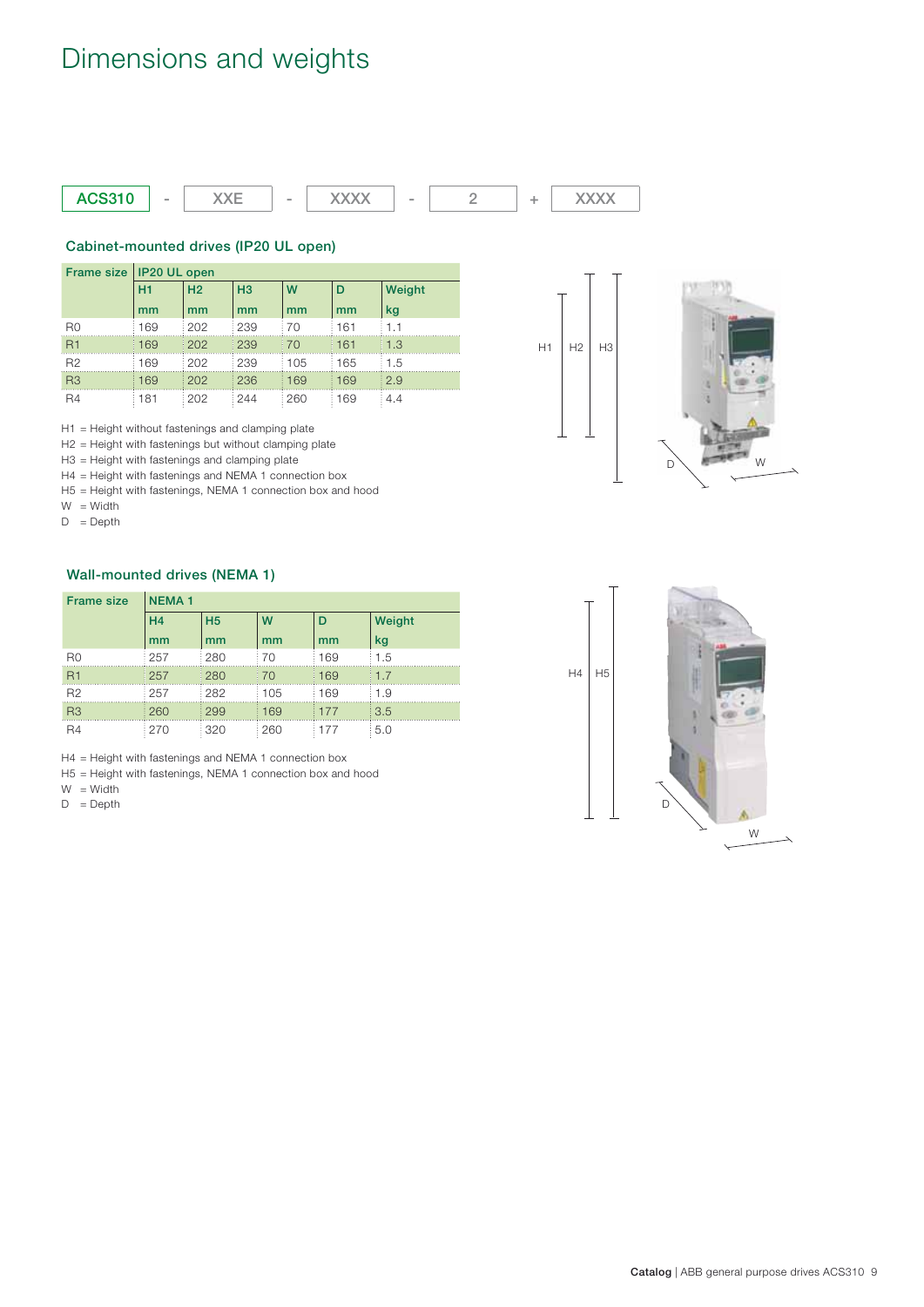# Dimensions and weights



## **Cabinet-mounted drives (IP20 UL open)**

|                | Frame size   IP20 UL open |                |                |       |       |        |  |  |
|----------------|---------------------------|----------------|----------------|-------|-------|--------|--|--|
|                | H1                        | H <sub>2</sub> | H <sub>3</sub> | W     | D     | Weight |  |  |
|                | mm                        | mm             | mm             | mm    | mm    | kg     |  |  |
| R <sub>0</sub> | 169                       | 1202           | 239            | : 70  | 161   | 1.1    |  |  |
| R1             | 169                       | 1202           | 239            | 170   | i 161 | 11.3   |  |  |
| B <sub>2</sub> | 169                       | 202            | 239            | ፡ 105 | 165   | 1.5    |  |  |
| R3             | 169                       | 202            | 236            | 169   | ⊟169  | : 2.9  |  |  |
| R <sub>4</sub> | 181                       | 1202           | : 244          | : 260 | 169   | 4.4    |  |  |

H1 = Height without fastenings and clamping plate

H2 = Height with fastenings but without clamping plate

H3 = Height with fastenings and clamping plate

H4 = Height with fastenings and NEMA 1 connection box

H5 = Height with fastenings, NEMA 1 connection box and hood

W = Width

 $D = \text{Depth}$ 

## **Wall-mounted drives (NEMA 1)**

| <b>Frame size</b> | <b>NEMA1</b> |                |     |     |        |  |  |
|-------------------|--------------|----------------|-----|-----|--------|--|--|
|                   | H4           | H <sub>5</sub> | W   | D   | Weight |  |  |
|                   | mm           | mm             | mm  | mm  | kg     |  |  |
| R <sub>0</sub>    | 257          | 280            | 170 | 169 | 1.5    |  |  |
| R1                | : 257        | 1280           | 170 | 169 | 1.7    |  |  |
| R <sub>2</sub>    | 257          | 282            | 105 | 169 | 1.9    |  |  |
| R <sub>3</sub>    | 1260         | 1299           | 169 | 177 | 3.5    |  |  |
| R <sub>4</sub>    | 270          | : 320          | 260 | 177 | 5.0    |  |  |

H4 = Height with fastenings and NEMA 1 connection box

H5 = Height with fastenings, NEMA 1 connection box and hood

 $W = W$ idth

 $D = \text{Depth}$ 



H<sub>1</sub>  $H2$  H<sub>3</sub>

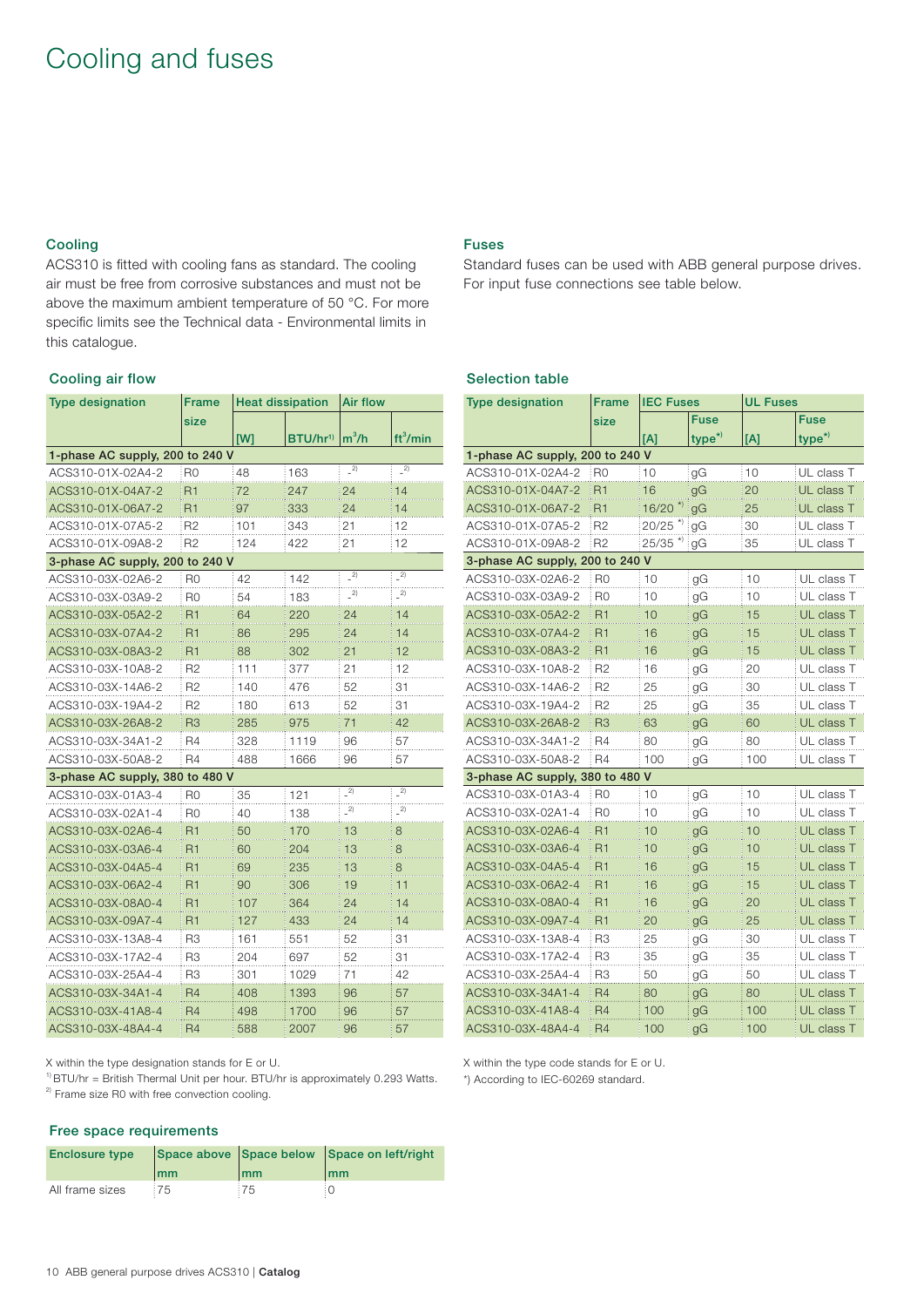## Cooling and fuses

## **Cooling**

ACS310 is fitted with cooling fans as standard. The cooling air must be free from corrosive substances and must not be above the maximum ambient temperature of 50 °C. For more specific limits see the Technical data - Environmental limits in this catalogue.

### **Cooling air flow**

| <b>Type designation</b>         | <b>Frame</b>   | <b>Heat dissipation</b> |                      | <b>Air flow</b> |                      |  |
|---------------------------------|----------------|-------------------------|----------------------|-----------------|----------------------|--|
|                                 | size           |                         |                      |                 |                      |  |
|                                 |                | [W]                     | BTU/hr <sup>1)</sup> | $m^3/h$         | ft <sup>3</sup> /min |  |
| 1-phase AC supply, 200 to 240 V |                |                         |                      |                 |                      |  |
| ACS310-01X-02A4-2               | R <sub>0</sub> | 48                      | 163                  | $-2)$           | $-2)$                |  |
| ACS310-01X-04A7-2               | R1             | 72                      | 247                  | 24              | 14                   |  |
| ACS310-01X-06A7-2               | R1             | 97                      | 333                  | 24              | 14                   |  |
| ACS310-01X-07A5-2               | R <sub>2</sub> | 101                     | 343                  | 21              | 12                   |  |
| ACS310-01X-09A8-2               | R <sub>2</sub> | 124                     | 422                  | 21              | 12                   |  |
| 3-phase AC supply, 200 to 240 V |                |                         |                      |                 |                      |  |
| ACS310-03X-02A6-2               | R <sub>0</sub> | 42                      | 142                  | $\overline{2}$  | 2)                   |  |
| ACS310-03X-03A9-2               | R0             | 54                      | 183                  | $-2)$           | $\overline{2}$       |  |
| ACS310-03X-05A2-2               | R <sub>1</sub> | 64                      | 220                  | 24              | 14                   |  |
| ACS310-03X-07A4-2               | R1             | 86                      | 295                  | 24              | 14                   |  |
| ACS310-03X-08A3-2               | R <sub>1</sub> | 88                      | 302                  | 21              | 12                   |  |
| ACS310-03X-10A8-2               | R <sub>2</sub> | 111                     | 377                  | 21              | 12                   |  |
| ACS310-03X-14A6-2               | R <sub>2</sub> | 140                     | 476                  | 52              | 31                   |  |
| ACS310-03X-19A4-2               | R <sub>2</sub> | 180                     | 613                  | 52              | 31                   |  |
| ACS310-03X-26A8-2               | R <sub>3</sub> | 285                     | 975                  | 71              | 42                   |  |
| ACS310-03X-34A1-2               | <b>R4</b>      | 328                     | 1119                 | 96              | 57                   |  |
| ACS310-03X-50A8-2               | R <sub>4</sub> | 488                     | 1666                 | 96              | 57                   |  |
| 3-phase AC supply, 380 to 480 V |                |                         |                      |                 |                      |  |
| ACS310-03X-01A3-4               | R0             | 35                      | 121                  | 2)              | 2)                   |  |
| ACS310-03X-02A1-4               | R0             | 40                      | 138                  | $\frac{1}{2}$   | $\overline{2)}$      |  |
| ACS310-03X-02A6-4               | R <sub>1</sub> | 50                      | 170                  | 13              | 8                    |  |
| ACS310-03X-03A6-4               | R <sub>1</sub> | 60                      | 204                  | 13              | 8                    |  |
| ACS310-03X-04A5-4               | R <sub>1</sub> | 69                      | 235                  | 13              | 8                    |  |
| ACS310-03X-06A2-4               | R1             | 90                      | 306                  | 19              | 11                   |  |
| ACS310-03X-08A0-4               | R1             | 107                     | 364                  | 24              | 14                   |  |
| ACS310-03X-09A7-4               | R1             | 127                     | 433                  | 24              | 14                   |  |
| ACS310-03X-13A8-4               | R <sub>3</sub> | 161                     | 551                  | 52              | 31                   |  |
| ACS310-03X-17A2-4               | R <sub>3</sub> | 204                     | 697                  | 52              | 31                   |  |
| ACS310-03X-25A4-4               | R3             | 301                     | 1029                 | 71              | 42                   |  |
| ACS310-03X-34A1-4               | R <sub>4</sub> | 408                     | 1393                 | 96              | 57                   |  |
| ACS310-03X-41A8-4               | R4             | 498                     | 1700                 | 96              | 57                   |  |
| ACS310-03X-48A4-4               | R4             | 588                     | 2007                 | 96              | 57                   |  |

## **Fuses**

Standard fuses can be used with ABB general purpose drives. For input fuse connections see table below.

## **Selection table**

| <b>Type designation</b>         | Frame          | <b>IEC Fuses</b> |                    | <b>UL Fuses</b> |            |  |
|---------------------------------|----------------|------------------|--------------------|-----------------|------------|--|
|                                 | size           |                  | Fuse               |                 | Fuse       |  |
|                                 |                | [A]              | type <sup>*)</sup> | [A]             | $type^*$   |  |
| 1-phase AC supply, 200 to 240 V |                |                  |                    |                 |            |  |
| ACS310-01X-02A4-2               | R0             | 10               | gG                 | 10              | UL class T |  |
| ACS310-01X-04A7-2               | R1             | 16               | gG                 | 20              | UL class T |  |
| ACS310-01X-06A7-2               | R1             | 16/20            | gG                 | 25              | UL class T |  |
| ACS310-01X-07A5-2               | R2             | 20/25            | gG                 | 30              | UL class T |  |
| ACS310-01X-09A8-2               | R2             | 25/35            | gG                 | 35              | UL class T |  |
| 3-phase AC supply, 200 to 240 V |                |                  |                    |                 |            |  |
| ACS310-03X-02A6-2               | R0             | 10               | gG                 | 10              | UL class T |  |
| ACS310-03X-03A9-2               | R0             | 10               | gG                 | 10              | UL class T |  |
| ACS310-03X-05A2-2               | <b>R1</b>      | 10               | gG                 | 15              | UL class T |  |
| ACS310-03X-07A4-2               | R1             | 16               | gG                 | 15              | UL class T |  |
| ACS310-03X-08A3-2               | R1             | 16               | gG                 | 15              | UL class T |  |
| ACS310-03X-10A8-2               | R <sub>2</sub> | 16               | gG                 | 20              | UL class T |  |
| ACS310-03X-14A6-2               | R <sub>2</sub> | 25               | gG                 | 30              | UL class T |  |
| ACS310-03X-19A4-2               | R <sub>2</sub> | 25               | gG                 | 35              | UL class T |  |
| ACS310-03X-26A8-2               | R <sub>3</sub> | 63               | gG                 | 60              | UL class T |  |
| ACS310-03X-34A1-2               | R4             | 80               | gG                 | 80              | UL class T |  |
| ACS310-03X-50A8-2               | R4             | 100              | gG                 | 100             | UL class T |  |
| 3-phase AC supply, 380 to 480 V |                |                  |                    |                 |            |  |
| ACS310-03X-01A3-4               | R <sub>0</sub> | 10               | gG                 | 10              | UL class T |  |
| ACS310-03X-02A1-4               | R0             | 10               | gG                 | 10              | UL class T |  |
| ACS310-03X-02A6-4               | <b>R1</b>      | 10               | gG                 | 10              | UL class T |  |
| ACS310-03X-03A6-4               | R1             | 10               | gG                 | 10              | UL class T |  |
| ACS310-03X-04A5-4               | R1             | 16               | gG                 | 15              | UL class T |  |
| ACS310-03X-06A2-4               | R1             | 16               | gG                 | 15              | UL class T |  |
| ACS310-03X-08A0-4               | R1             | 16               | gG                 | 20              | UL class T |  |
| ACS310-03X-09A7-4               | R <sub>1</sub> | 20               | gG                 | 25              | UL class T |  |
| ACS310-03X-13A8-4               | R <sub>3</sub> | 25               | gG                 | 30              | UL class T |  |
| ACS310-03X-17A2-4               | R <sub>3</sub> | 35               | gG                 | 35              | UL class T |  |
| ACS310-03X-25A4-4               | R3             | 50               | gG                 | 50              | UL class T |  |
| ACS310-03X-34A1-4               | R4             | 80               | gG                 | 80              | UL class T |  |
| ACS310-03X-41A8-4               | R4             | 100              | gG                 | 100             | UL class T |  |
| ACS310-03X-48A4-4               | R4             | 100              | gG                 | 100             | UL class T |  |

X within the type designation stands for E or U.

<sup>1)</sup> BTU/hr = British Thermal Unit per hour. BTU/hr is approximately 0.293 Watts.

 $2)$  Frame size R0 with free convection cooling.

## **Free space requirements**

| <b>Enclosure type</b> |      |                        | Space above Space below Space on left/right |  |
|-----------------------|------|------------------------|---------------------------------------------|--|
|                       | l mm | $\mathsf{m}\mathsf{m}$ | $\mathsf{m}\mathsf{m}$                      |  |
| All frame sizes       | .75  | 75                     |                                             |  |

X within the type code stands for E or U. \*) According to IEC-60269 standard.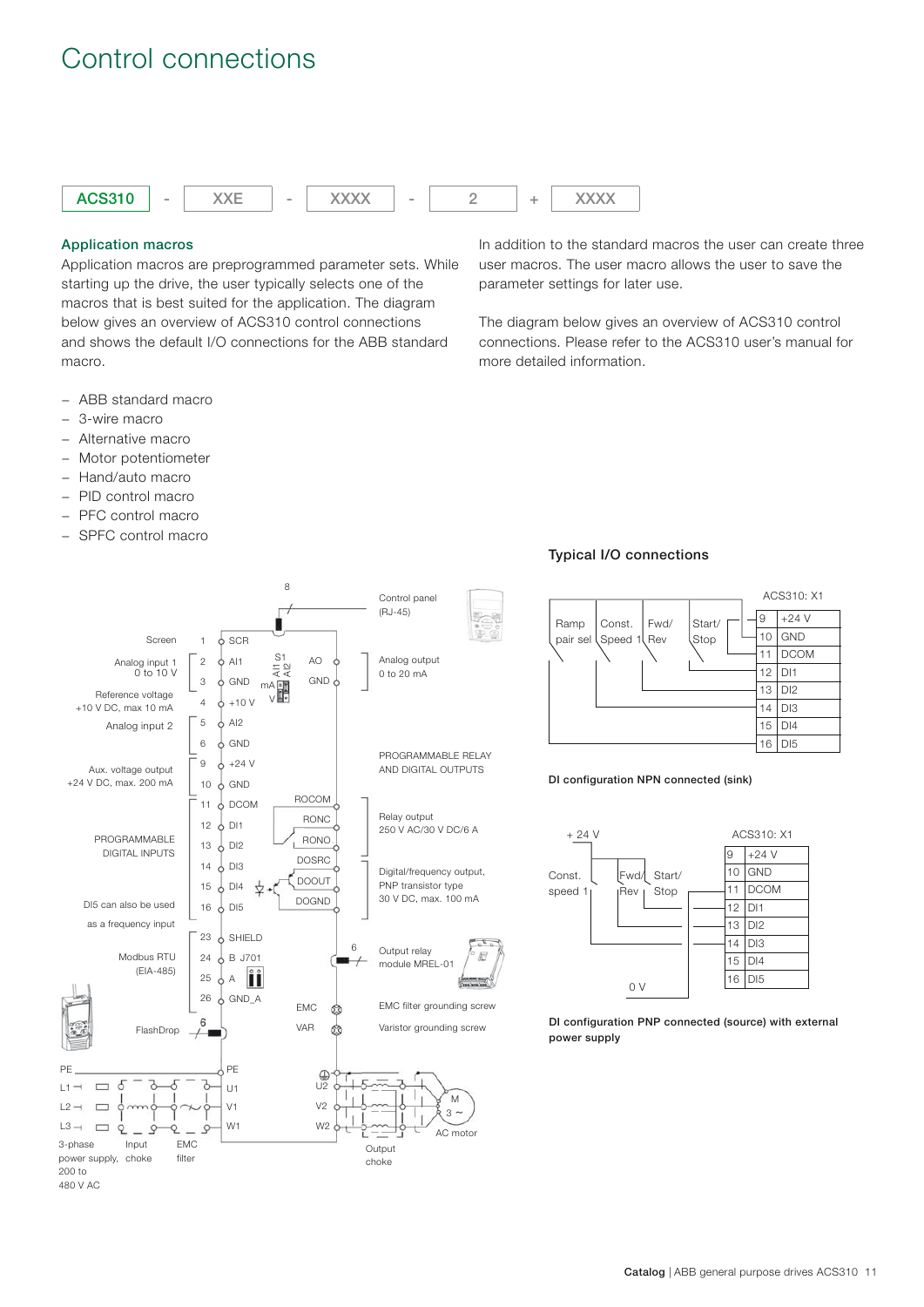## Control connections



### **Application macros**

Application macros are preprogrammed parameter sets. While starting up the drive, the user typically selects one of the macros that is best suited for the application. The diagram below gives an overview of ACS310 control connections and shows the default I/O connections for the ABB standard macro.

- − ABB standard macro
- − 3-wire macro
- − Alternative macro
- − Motor potentiometer
- − Hand/auto macro
- − PID control macro
- − PFC control macro
- − SPFC control macro

In addition to the standard macros the user can create three user macros. The user macro allows the user to save the parameter settings for later use.

The diagram below gives an overview of ACS310 control connections. Please refer to the ACS310 user's manual for more detailed information.



#### **Typical I/O connections**



#### **DI configuration NPN connected (sink)**



**DI configuration PNP connected (source) with external power supply**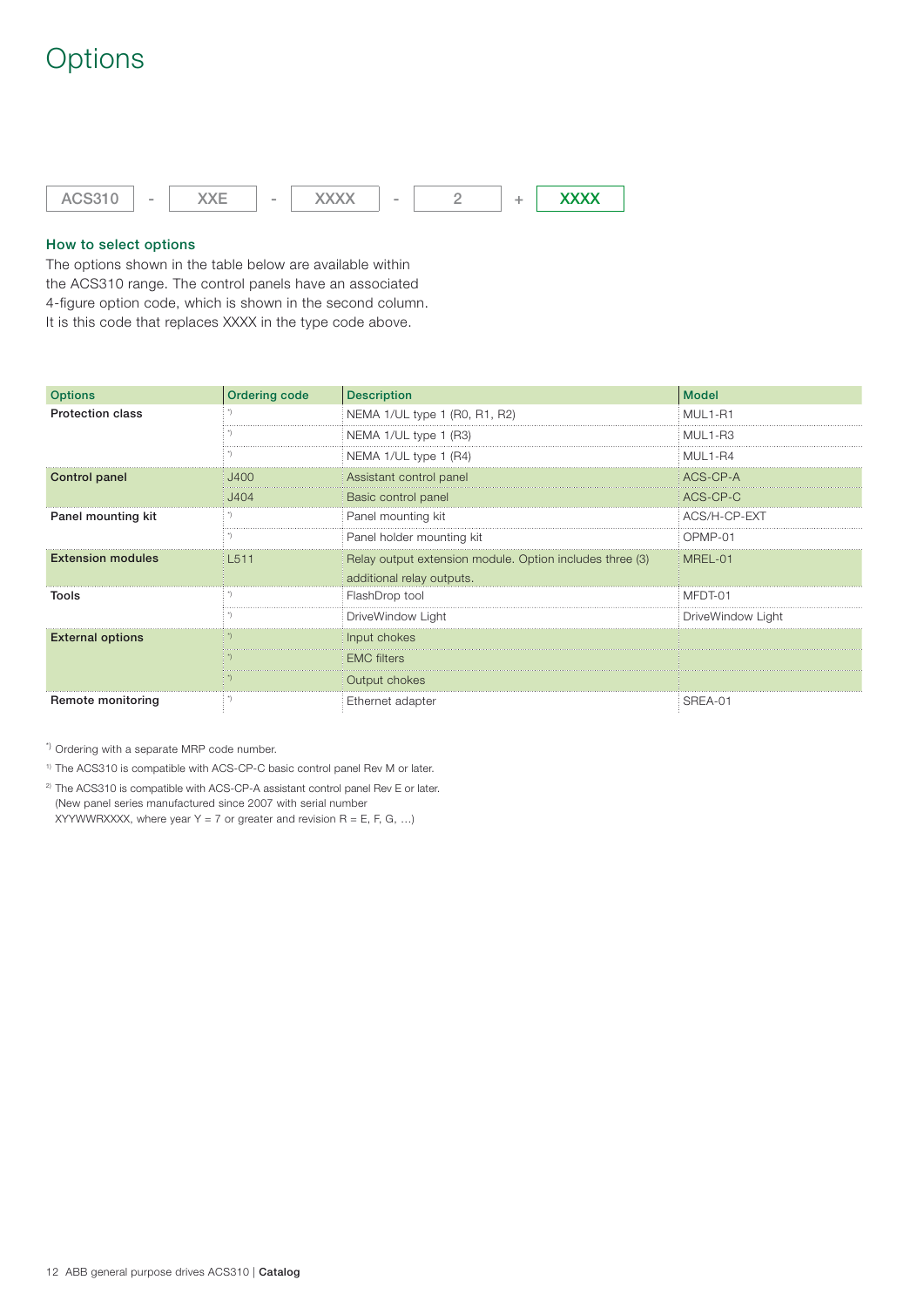## **Options**



## **How to select options**

The options shown in the table below are available within the ACS310 range. The control panels have an associated 4-figure option code, which is shown in the second column. It is this code that replaces XXXX in the type code above.

| <b>Options</b>           | <b>Ordering code</b> | <b>Description</b>                                       | <b>Model</b>      |
|--------------------------|----------------------|----------------------------------------------------------|-------------------|
| <b>Protection class</b>  |                      | NEMA 1/UL type 1 (R0, R1, R2)                            | MUL1-R1           |
|                          |                      | NEMA 1/UL type 1 (R3)                                    | MUL1-R3           |
|                          |                      | NEMA 1/UL type 1 (R4)                                    | MUL1-R4           |
| Control panel            | J400                 | Assistant control panel                                  | ACS-CP-A          |
|                          | J404                 | Basic control panel                                      | ACS-CP-C          |
| Panel mounting kit       |                      | Panel mounting kit                                       | ACS/H-CP-EXT      |
|                          |                      | Panel holder mounting kit                                | OPMP-01           |
| <b>Extension modules</b> | L511                 | Relay output extension module. Option includes three (3) | MREL-01           |
|                          |                      | additional relay outputs.                                |                   |
| Tools                    |                      | FlashDrop tool                                           | MFDT-01           |
|                          |                      | DriveWindow Light                                        | DriveWindow Light |
| <b>External options</b>  |                      | Input chokes                                             |                   |
|                          |                      | <b>EMC</b> filters                                       |                   |
|                          |                      | Output chokes                                            |                   |
| Remote monitoring        |                      | Ethernet adapter                                         | SREA-01           |

\*) Ordering with a separate MRP code number.

1) The ACS310 is compatible with ACS-CP-C basic control panel Rev M or later.

<sup>2)</sup> The ACS310 is compatible with ACS-CP-A assistant control panel Rev E or later. (New panel series manufactured since 2007 with serial number

XYYWWRXXXX, where year Y = 7 or greater and revision R = E, F, G, ...)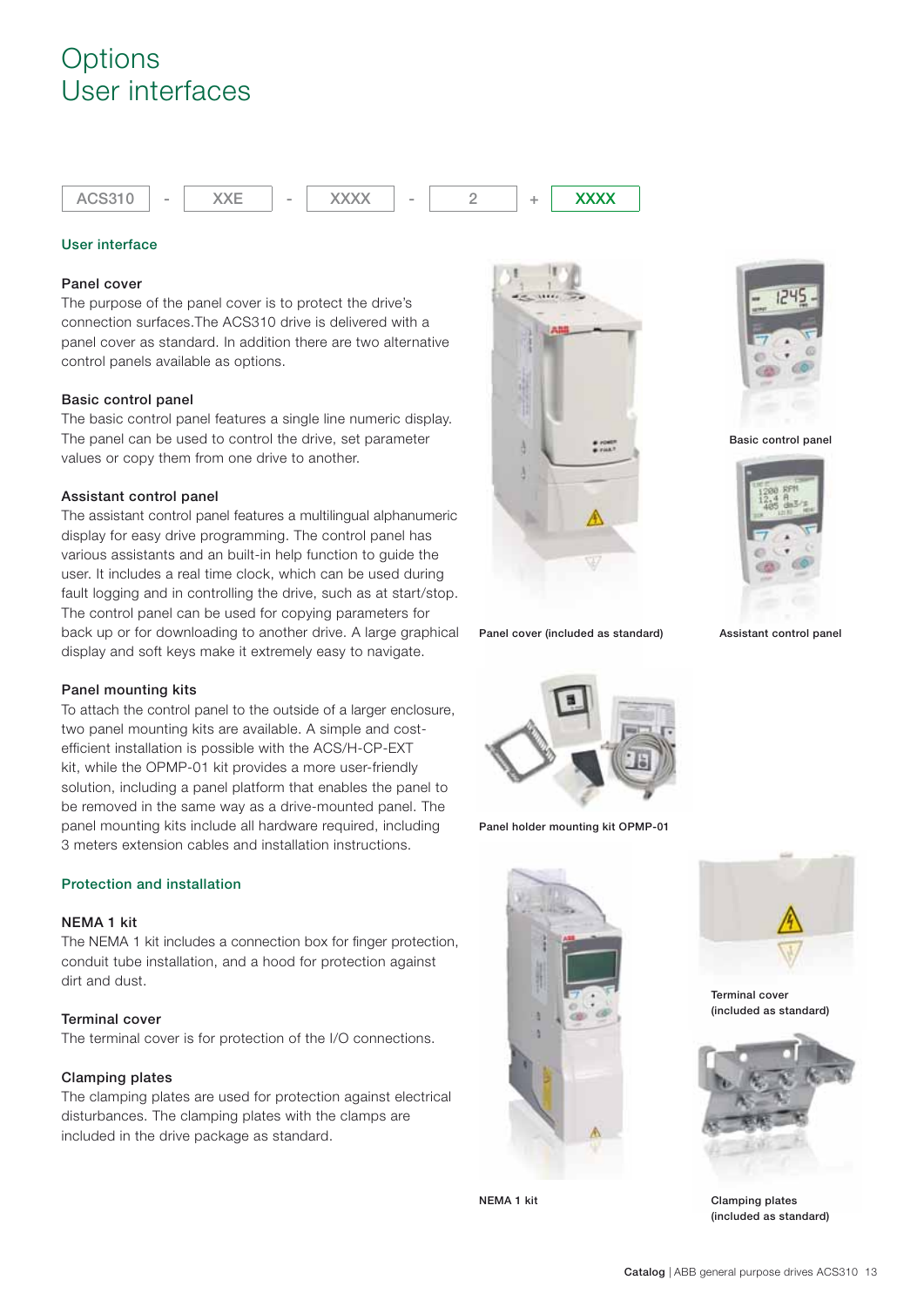## **Options** User interfaces



### **User interface**

### **Panel cover**

The purpose of the panel cover is to protect the drive's connection surfaces.The ACS310 drive is delivered with a panel cover as standard. In addition there are two alternative control panels available as options.

### **Basic control panel**

The basic control panel features a single line numeric display. The panel can be used to control the drive, set parameter values or copy them from one drive to another.

### **Assistant control panel**

The assistant control panel features a multilingual alphanumeric display for easy drive programming. The control panel has various assistants and an built-in help function to guide the user. It includes a real time clock, which can be used during fault logging and in controlling the drive, such as at start/stop. The control panel can be used for copying parameters for back up or for downloading to another drive. A large graphical display and soft keys make it extremely easy to navigate.

## **Panel mounting kits**

To attach the control panel to the outside of a larger enclosure, two panel mounting kits are available. A simple and costefficient installation is possible with the ACS/H-CP-EXT kit, while the OPMP-01 kit provides a more user-friendly solution, including a panel platform that enables the panel to be removed in the same way as a drive-mounted panel. The panel mounting kits include all hardware required, including 3 meters extension cables and installation instructions.

## **Protection and installation**

#### **NEMA 1 kit**

The NEMA 1 kit includes a connection box for finger protection, conduit tube installation, and a hood for protection against dirt and dust.

## **Terminal cover**

The terminal cover is for protection of the I/O connections.

#### **Clamping plates**

The clamping plates are used for protection against electrical disturbances. The clamping plates with the clamps are included in the drive package as standard.



**Panel cover (included as standard)**



**Panel holder mounting kit OPMP-01**



**NEMA 1 kit**



**Basic control panel**



**Assistant control panel**



**Terminal cover (included as standard)**



**Clamping plates (included as standard)**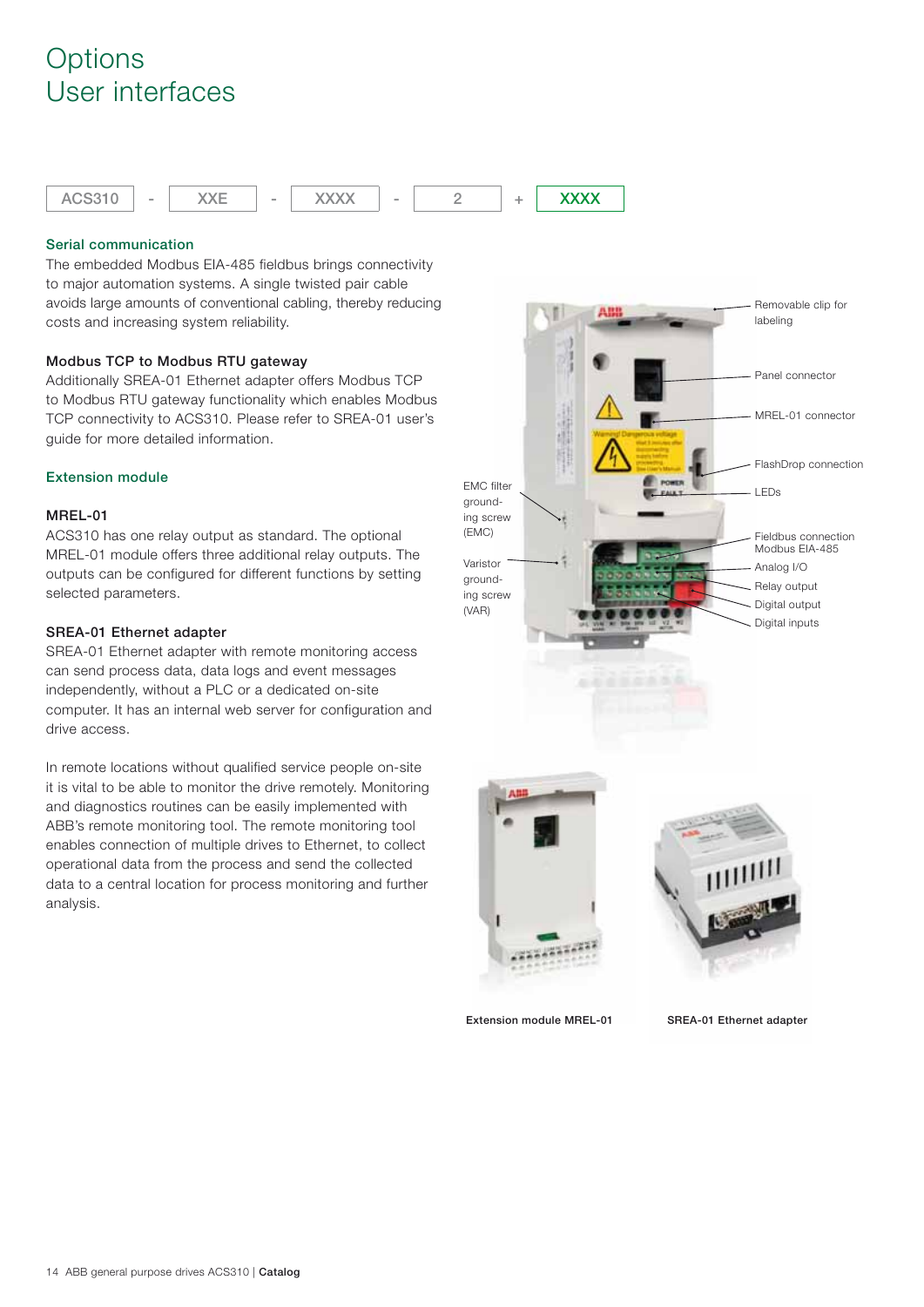## **Options** User interfaces



### **Serial communication**

The embedded Modbus EIA-485 fieldbus brings connectivity to major automation systems. A single twisted pair cable avoids large amounts of conventional cabling, thereby reducing costs and increasing system reliability.

### **Modbus TCP to Modbus RTU gateway**

Additionally SREA-01 Ethernet adapter offers Modbus TCP to Modbus RTU gateway functionality which enables Modbus TCP connectivity to ACS310. Please refer to SREA-01 user's guide for more detailed information.

## **Extension module**

## **MREL-01**

ACS310 has one relay output as standard. The optional MREL-01 module offers three additional relay outputs. The outputs can be configured for different functions by setting selected parameters.

### **SREA-01 Ethernet adapter**

SREA-01 Ethernet adapter with remote monitoring access can send process data, data logs and event messages independently, without a PLC or a dedicated on-site computer. It has an internal web server for configuration and drive access.

In remote locations without qualified service people on-site it is vital to be able to monitor the drive remotely. Monitoring and diagnostics routines can be easily implemented with ABB's remote monitoring tool. The remote monitoring tool enables connection of multiple drives to Ethernet, to collect operational data from the process and send the collected data to a central location for process monitoring and further analysis.

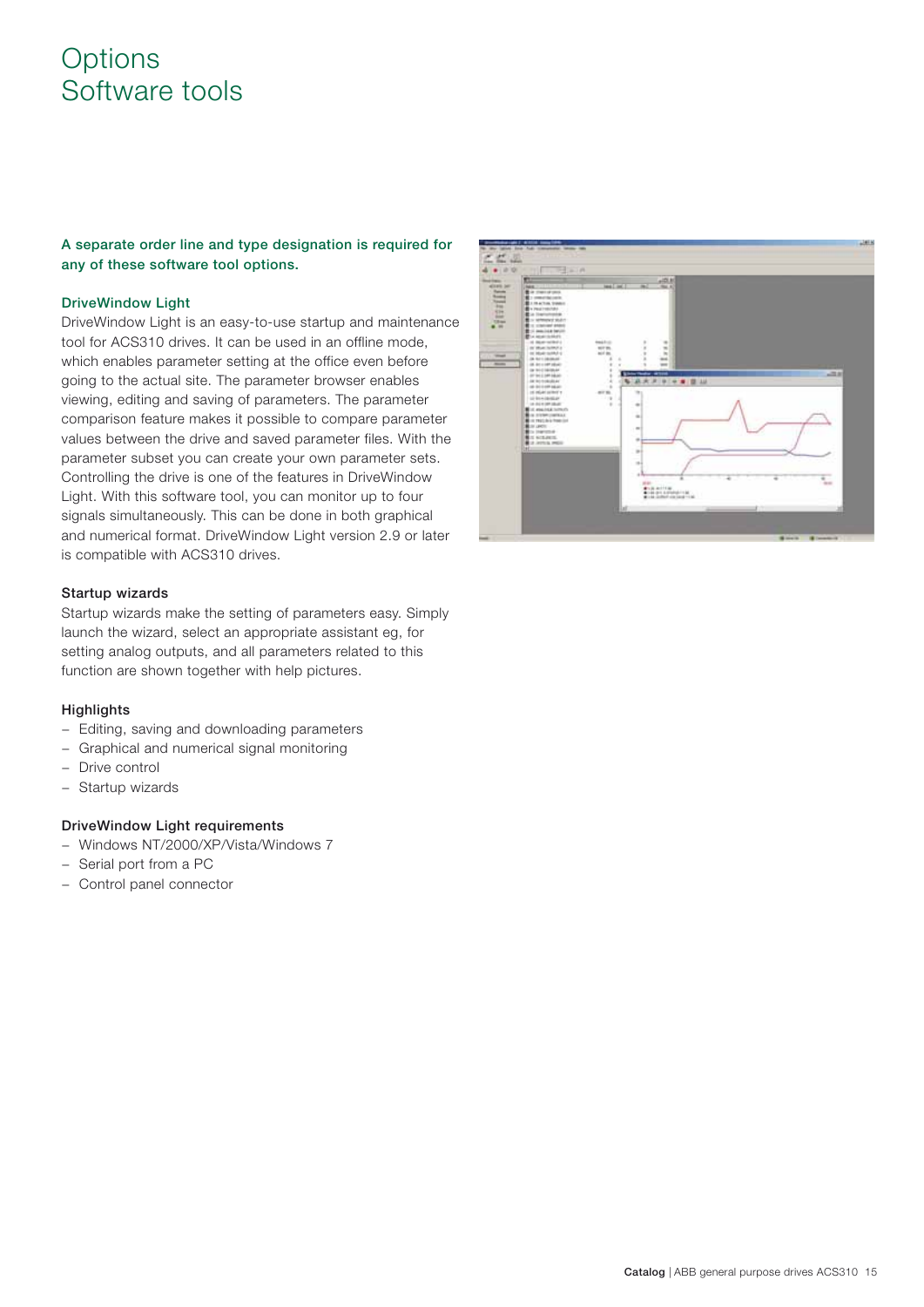## **Options** Software tools

**A separate order line and type designation is required for any of these software tool options.** 

### **DriveWindow Light**

DriveWindow Light is an easy-to-use startup and maintenance tool for ACS310 drives. It can be used in an offline mode, which enables parameter setting at the office even before going to the actual site. The parameter browser enables viewing, editing and saving of parameters. The parameter comparison feature makes it possible to compare parameter values between the drive and saved parameter files. With the parameter subset you can create your own parameter sets. Controlling the drive is one of the features in DriveWindow Light. With this software tool, you can monitor up to four signals simultaneously. This can be done in both graphical and numerical format. DriveWindow Light version 2.9 or later is compatible with ACS310 drives.

### **Startup wizards**

Startup wizards make the setting of parameters easy. Simply launch the wizard, select an appropriate assistant eg, for setting analog outputs, and all parameters related to this function are shown together with help pictures.

## **Highlights**

- − Editing, saving and downloading parameters
- − Graphical and numerical signal monitoring
- − Drive control
- − Startup wizards

## **DriveWindow Light requirements**

- − Windows NT/2000/XP/Vista/Windows 7
- − Serial port from a PC
- − Control panel connector

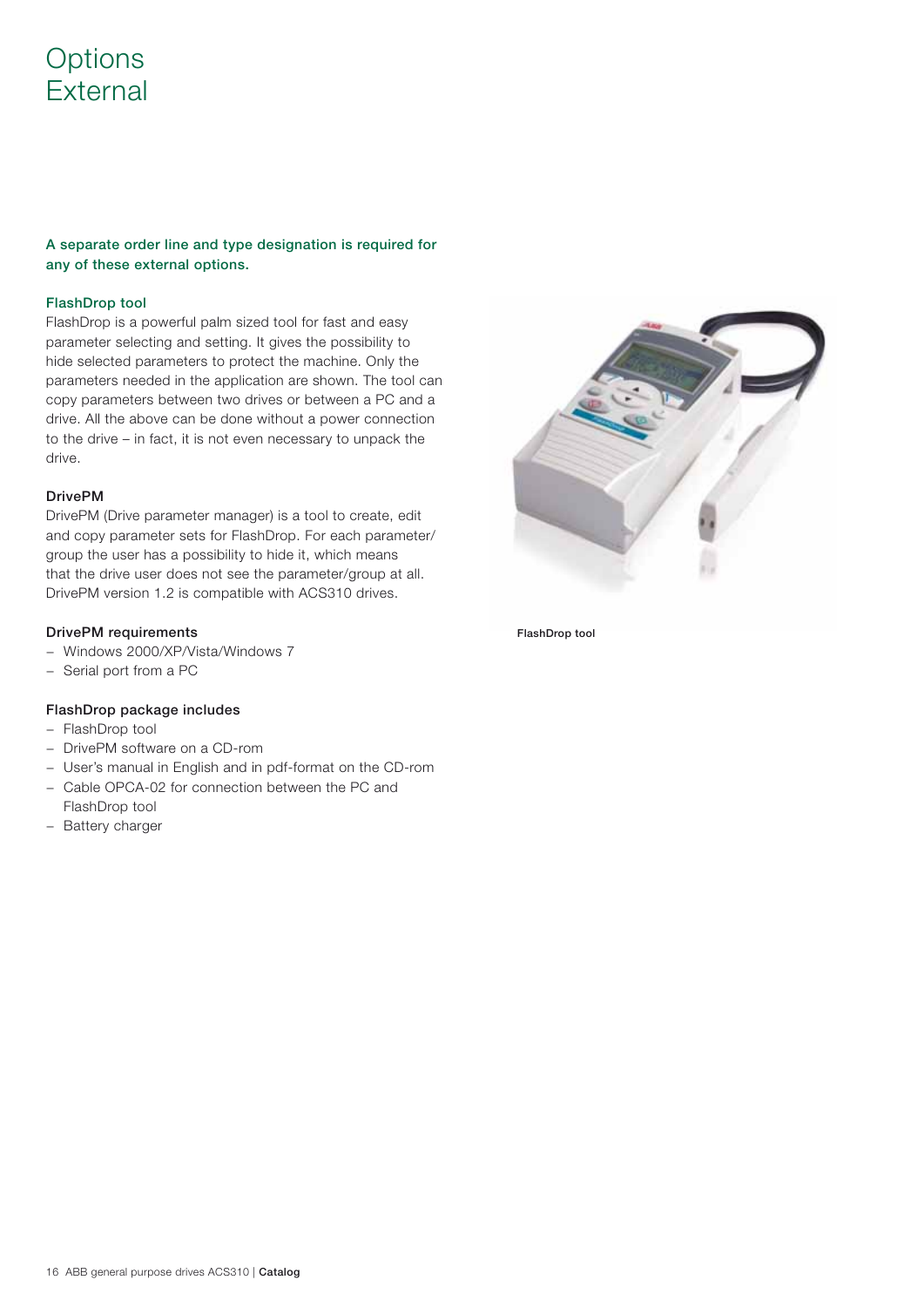## **Options** External

**A separate order line and type designation is required for any of these external options.** 

## **FlashDrop tool**

FlashDrop is a powerful palm sized tool for fast and easy parameter selecting and setting. It gives the possibility to hide selected parameters to protect the machine. Only the parameters needed in the application are shown. The tool can copy parameters between two drives or between a PC and a drive. All the above can be done without a power connection to the drive – in fact, it is not even necessary to unpack the drive.

### **DrivePM**

DrivePM (Drive parameter manager) is a tool to create, edit and copy parameter sets for FlashDrop. For each parameter/ group the user has a possibility to hide it, which means that the drive user does not see the parameter/group at all. DrivePM version 1.2 is compatible with ACS310 drives.

### **DrivePM requirements**

- − Windows 2000/XP/Vista/Windows 7
- − Serial port from a PC

## **FlashDrop package includes**

- − FlashDrop tool
- − DrivePM software on a CD-rom
- − User's manual in English and in pdf-format on the CD-rom
- − Cable OPCA-02 for connection between the PC and FlashDrop tool
- − Battery charger



 **FlashDrop tool**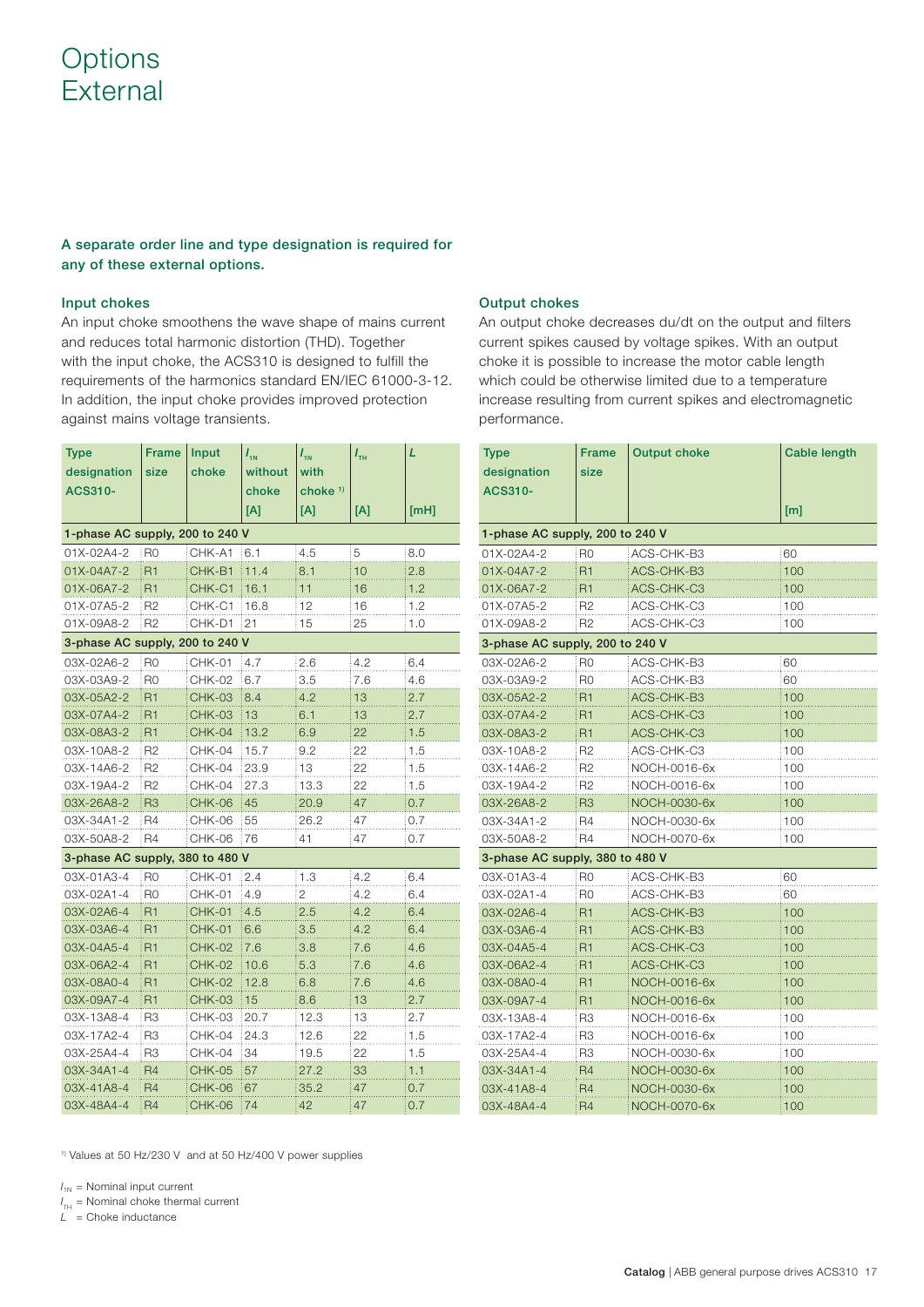## **Options** External

## **A separate order line and type designation is required for any of these external options.**

### **Input chokes**

An input choke smoothens the wave shape of mains current and reduces total harmonic distortion (THD). Together with the input choke, the ACS310 is designed to fulfill the requirements of the harmonics standard EN/IEC 61000-3-12. In addition, the input choke provides improved protection against mains voltage transients.

| <b>Type</b>                     | <b>Frame</b>   | Input         | $I_{1N}$ | $I_{\rm 1N}$   | $I_{\rm{th}}$ | L    |  |  |
|---------------------------------|----------------|---------------|----------|----------------|---------------|------|--|--|
| designation                     | size           | choke         | without  | with           |               |      |  |  |
| ACS310-                         |                |               | choke    | choke $1$      |               |      |  |  |
|                                 |                |               | [A]      | [A]            | [A]           | [MH] |  |  |
| 1-phase AC supply, 200 to 240 V |                |               |          |                |               |      |  |  |
| 01X-02A4-2                      | R0             | CHK-A1        | 6.1      | 4.5            | 5             | 8.0  |  |  |
| 01X-04A7-2                      | R <sub>1</sub> | CHK-B1        | 11.4     | 8.1            | 10            | 2.8  |  |  |
| 01X-06A7-2                      | R1             | CHK-C1        | 16.1     | 11             | 16            | 1.2  |  |  |
| 01X-07A5-2                      | R2             | CHK-C1        | 16.8     | 12             | 16            | 1.2  |  |  |
| 01X-09A8-2                      | R2             | CHK-D1        | 21       | 15             | 25            | 1.0  |  |  |
| 3-phase AC supply, 200 to 240 V |                |               |          |                |               |      |  |  |
| 03X-02A6-2                      | R <sub>0</sub> | <b>CHK-01</b> | 4.7      | 2.6            | 4.2           | 6.4  |  |  |
| 03X-03A9-2                      | R0             | <b>CHK-02</b> | 6.7      | 3.5            | 7.6           | 4.6  |  |  |
| 03X-05A2-2                      | R1             | <b>CHK-03</b> | 8.4      | 4.2            | 13            | 2.7  |  |  |
| 03X-07A4-2                      | R1             | CHK-03        | 13       | 6.1            | 13            | 2.7  |  |  |
| 03X-08A3-2                      | R <sub>1</sub> | CHK-04        | 13.2     | 6.9            | 22            | 1.5  |  |  |
| 03X-10A8-2                      | R2             | CHK-04        | 15.7     | 9.2            | 22            | 1.5  |  |  |
| 03X-14A6-2                      | R <sub>2</sub> | CHK-04        | 23.9     | 13             | 22            | 1.5  |  |  |
| 03X-19A4-2                      | R2             | CHK-04        | 27.3     | 13.3           | 22            | 1.5  |  |  |
| 03X-26A8-2                      | R <sub>3</sub> | CHK-06        | 45       | 20.9           | 47            | 0.7  |  |  |
| 03X-34A1-2                      | R4             | CHK-06        | 55       | 26.2           | 47            | 0.7  |  |  |
| 03X-50A8-2                      | R4             | <b>CHK-06</b> | 76       | 41             | 47            | 0.7  |  |  |
| 3-phase AC supply, 380 to 480 V |                |               |          |                |               |      |  |  |
| 03X-01A3-4                      | R <sub>0</sub> | <b>CHK-01</b> | 2.4      | 1.3            | 4.2           | 6.4  |  |  |
| 03X-02A1-4                      | R <sub>0</sub> | <b>CHK-01</b> | 4.9      | $\overline{2}$ | 4.2           | 6.4  |  |  |
| 03X-02A6-4                      | R1             | <b>CHK-01</b> | 4.5      | 2.5            | 4.2           | 6.4  |  |  |
| 03X-03A6-4                      | R1             | <b>CHK-01</b> | 6.6      | 3.5            | 4.2           | 6.4  |  |  |
| 03X-04A5-4                      | R1             | <b>CHK-02</b> | 7.6      | 3.8            | 7.6           | 4.6  |  |  |
| 03X-06A2-4                      | R1             | <b>CHK-02</b> | 10.6     | 5.3            | 7.6           | 4.6  |  |  |
| 03X-08A0-4                      | R1             | CHK-02        | 12.8     | 6.8            | 7.6           | 4.6  |  |  |
| 03X-09A7-4                      | R1             | <b>CHK-03</b> | 15       | 8.6            | 13            | 2.7  |  |  |
| 03X-13A8-4                      | R3             | CHK-03        | 20.7     | 12.3           | 13            | 2.7  |  |  |
| 03X-17A2-4                      | R3             | CHK-04        | 24.3     | 12.6           | 22            | 1.5  |  |  |
| 03X-25A4-4                      | R3             | <b>CHK-04</b> | 34       | 19.5           | 22            | 1.5  |  |  |
| 03X-34A1-4                      | R4             | <b>CHK-05</b> | 57       | 27.2           | 33            | 1.1  |  |  |
| 03X-41A8-4                      | R4             | CHK-06        | 67       | 35.2           | 47            | 0.7  |  |  |
| 03X-48A4-4                      | R4             | <b>CHK-06</b> | 74       | 42             | 47            | 0.7  |  |  |

#### **Output chokes**

An output choke decreases du/dt on the output and filters current spikes caused by voltage spikes. With an output choke it is possible to increase the motor cable length which could be otherwise limited due to a temperature increase resulting from current spikes and electromagnetic performance.

| <b>Type</b>                     | <b>Frame</b>   | <b>Output choke</b> | <b>Cable length</b> |  |  |  |
|---------------------------------|----------------|---------------------|---------------------|--|--|--|
| designation                     | size           |                     |                     |  |  |  |
| ACS310-                         |                |                     |                     |  |  |  |
|                                 |                |                     | [ml]                |  |  |  |
| 1-phase AC supply, 200 to 240 V |                |                     |                     |  |  |  |
| 01X-02A4-2                      | R <sub>0</sub> | ACS-CHK-B3          | 60                  |  |  |  |
| 01X-04A7-2                      | R1             | ACS-CHK-B3          | 100                 |  |  |  |
| 01X-06A7-2                      | R <sub>1</sub> | ACS-CHK-C3          | 100                 |  |  |  |
| 01X-07A5-2                      | R <sub>2</sub> | ACS-CHK-C3          | 100                 |  |  |  |
| 01X-09A8-2                      | R <sub>2</sub> | ACS-CHK-C3          | 100                 |  |  |  |
| 3-phase AC supply, 200 to 240 V |                |                     |                     |  |  |  |
| 03X-02A6-2                      | R <sub>0</sub> | ACS-CHK-B3          | 60                  |  |  |  |
| 03X-03A9-2                      | R <sub>0</sub> | ACS-CHK-B3          | 60                  |  |  |  |
| 03X-05A2-2                      | R1             | ACS-CHK-B3          | 100                 |  |  |  |
| 03X-07A4-2                      | R1             | ACS-CHK-C3          | 100                 |  |  |  |
| 03X-08A3-2                      | R <sub>1</sub> | ACS-CHK-C3          | 100                 |  |  |  |
| 03X-10A8-2                      | R <sub>2</sub> | ACS-CHK-C3          | 100                 |  |  |  |
| 03X-14A6-2                      | R <sub>2</sub> | NOCH-0016-6x        | 100                 |  |  |  |
| 03X-19A4-2                      | R2             | NOCH-0016-6x        | 100                 |  |  |  |
| 03X-26A8-2                      | R <sub>3</sub> | NOCH-0030-6x        | 100                 |  |  |  |
| 03X-34A1-2                      | R4             | NOCH-0030-6x        | 100                 |  |  |  |
| 03X-50A8-2                      | R4             | NOCH-0070-6x        | 100                 |  |  |  |
| 3-phase AC supply, 380 to 480 V |                |                     |                     |  |  |  |
| 03X-01A3-4                      | R <sub>0</sub> | ACS-CHK-B3          | 60                  |  |  |  |
| 03X-02A1-4                      | R <sub>0</sub> | ACS-CHK-B3          | 60                  |  |  |  |
| 03X-02A6-4                      | R1             | ACS-CHK-B3          | 100                 |  |  |  |
| 03X-03A6-4                      | R1             | ACS-CHK-B3          | 100                 |  |  |  |
| 03X-04A5-4                      | R1             | ACS-CHK-C3          | 100                 |  |  |  |
| 03X-06A2-4                      | R1             | ACS-CHK-C3          | 100                 |  |  |  |
| 03X-08A0-4                      | R1             | NOCH-0016-6x        | 100                 |  |  |  |
| 03X-09A7-4                      | R <sub>1</sub> | NOCH-0016-6x        | 100                 |  |  |  |
| 03X-13A8-4                      | R3             | NOCH-0016-6x        | 100                 |  |  |  |
| 03X-17A2-4                      | R3             | NOCH-0016-6x        | 100                 |  |  |  |
| 03X-25A4-4                      | R3             | NOCH-0030-6x        | 100                 |  |  |  |
| 03X-34A1-4                      | R <sub>4</sub> | NOCH-0030-6x        | 100                 |  |  |  |
| 03X-41A8-4                      | R <sub>4</sub> | NOCH-0030-6x        | 100                 |  |  |  |
| 03X-48A4-4                      | R4             | NOCH-0070-6x        | 100                 |  |  |  |

1) Values at 50 Hz/230 V and at 50 Hz/400 V power supplies

 $I_{1N}$  = Nominal input current

 $I_{\text{TH}}$  = Nominal choke thermal current

 $L =$ Choke inductance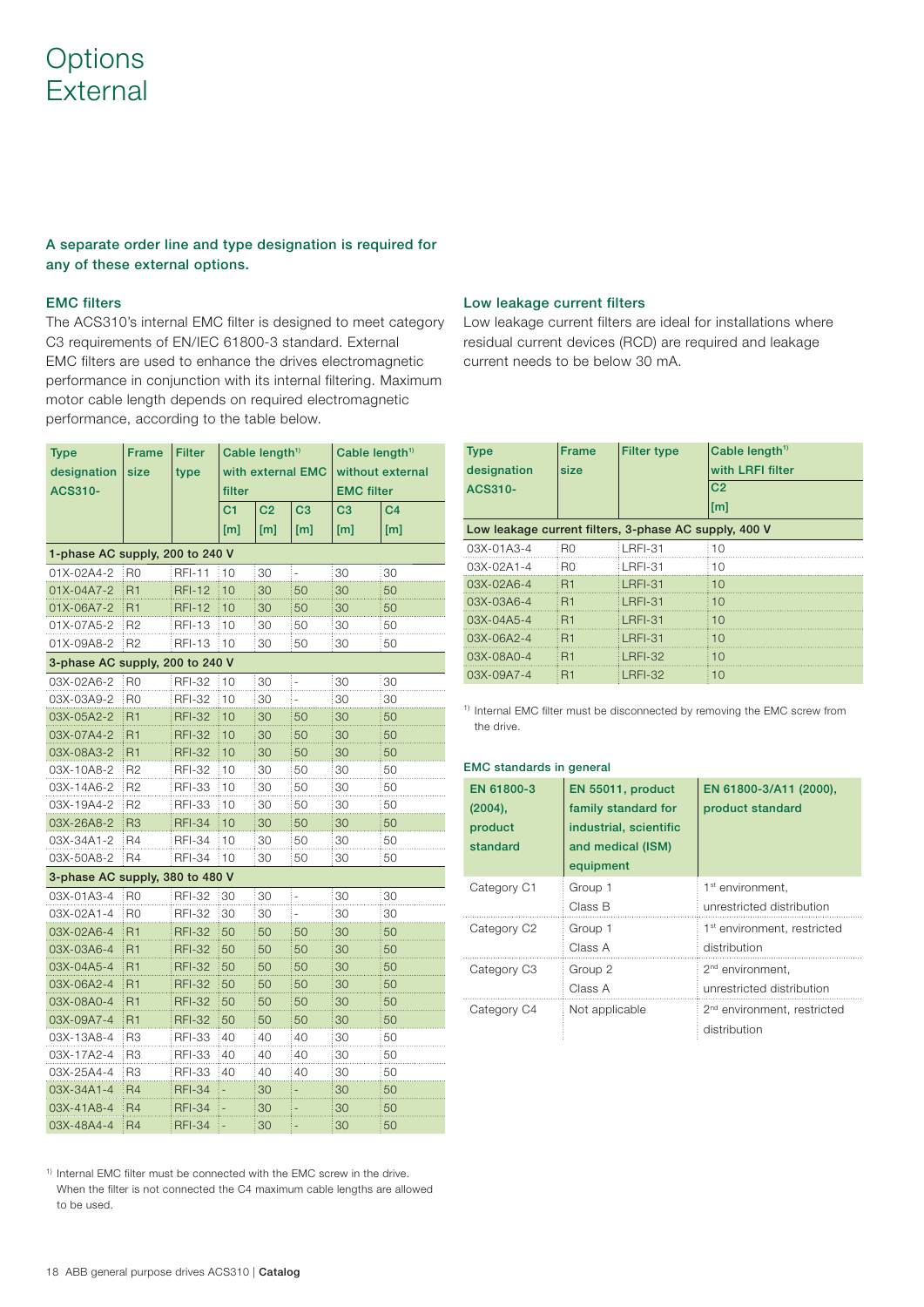## **Options** External

## **A separate order line and type designation is required for any of these external options.**

## **EMC filters**

The ACS310's internal EMC filter is designed to meet category C3 requirements of EN/IEC 61800-3 standard. External EMC filters are used to enhance the drives electromagnetic performance in conjunction with its internal filtering. Maximum motor cable length depends on required electromagnetic performance, according to the table below.

| <b>Type</b>                     | <b>Frame</b>   | <b>Filter</b> | Cable length <sup>1)</sup> |                | Cable length <sup>1)</sup> |                   |                |
|---------------------------------|----------------|---------------|----------------------------|----------------|----------------------------|-------------------|----------------|
| designation                     | size           | type          | with external EMC          |                | without external           |                   |                |
| ACS310-                         |                |               | filter                     |                |                            | <b>EMC filter</b> |                |
|                                 |                |               | C <sub>1</sub>             | C <sub>2</sub> | C <sub>3</sub>             | C <sub>3</sub>    | C <sub>4</sub> |
|                                 |                |               | [m]                        | [ml]           | [m]                        | [m]               | [ml]           |
| 1-phase AC supply, 200 to 240 V |                |               |                            |                |                            |                   |                |
| 01X-02A4-2                      | R <sub>0</sub> | <b>RFI-11</b> | 10                         | 30             | $\overline{a}$             | 30                | 30             |
| 01X-04A7-2                      | <b>R1</b>      | <b>RFI-12</b> | 10                         | 30             | 50                         | 30                | 50             |
| 01X-06A7-2                      | R <sub>1</sub> | <b>RFI-12</b> | 10                         | 30             | 50                         | 30                | 50             |
| 01X-07A5-2                      | R <sub>2</sub> | <b>RFI-13</b> | 10                         | 30             | 50                         | 30                | 50             |
| 01X-09A8-2                      | R <sub>2</sub> | <b>RFI-13</b> | 10                         | 30             | 50                         | 30                | 50             |
| 3-phase AC supply, 200 to 240 V |                |               |                            |                |                            |                   |                |
| 03X-02A6-2                      | : RO           | <b>RFI-32</b> | 10                         | 30             |                            | 30                | 30             |
| 03X-03A9-2                      | R0             | <b>RFI-32</b> | 10                         | 30             |                            | 30                | 30             |
| 03X-05A2-2                      | R <sub>1</sub> | <b>RFI-32</b> | 10                         | 30             | 50                         | 30                | 50             |
| 03X-07A4-2                      | R1             | <b>RFI-32</b> | 10                         | 30             | 50                         | 30                | 50             |
| 03X-08A3-2                      | R <sub>1</sub> | <b>RFI-32</b> | 10                         | 30             | 50                         | 30                | 50             |
| 03X-10A8-2                      | R <sub>2</sub> | <b>RFI-32</b> | 10                         | 30             | 50                         | 30                | 50             |
| 03X-14A6-2                      | R <sub>2</sub> | <b>RFI-33</b> | 10                         | 30             | 50                         | 30                | 50             |
| 03X-19A4-2                      | R <sub>2</sub> | <b>RFI-33</b> | 10                         | 30             | 50                         | 30                | 50             |
| 03X-26A8-2                      | R <sub>3</sub> | <b>RFI-34</b> | 10                         | 30             | 50                         | 30                | 50             |
| 03X-34A1-2                      | R4             | <b>RFI-34</b> | 10                         | 30             | 50                         | 30                | 50             |
| 03X-50A8-2                      | R4             | <b>RFI-34</b> | 10                         | 30             | 50                         | 30                | 50             |
| 3-phase AC supply, 380 to 480 V |                |               |                            |                |                            |                   |                |
| 03X-01A3-4                      | R <sub>0</sub> | <b>RFI-32</b> | 30                         | 30             | $\overline{\phantom{0}}$   | 30                | 30             |
| 03X-02A1-4                      | R0             | <b>RFI-32</b> | 30                         | 30             |                            | 30                | 30             |
| 03X-02A6-4                      | R <sub>1</sub> | RFI-32        | 50                         | 50             | 50                         | 30                | 50             |
| 03X-03A6-4                      | R <sub>1</sub> | <b>RFI-32</b> | 50                         | 50             | 50                         | 30                | 50             |
| 03X-04A5-4                      | R <sub>1</sub> | <b>RFI-32</b> | 50                         | 50             | 50                         | 30                | 50             |
| 03X-06A2-4                      | R <sub>1</sub> | RFI-32        | 50                         | 50             | 50                         | 30                | 50             |
| 03X-08A0-4                      | R <sub>1</sub> | <b>RFI-32</b> | 50                         | 50             | 50                         | 30                | 50             |
| 03X-09A7-4                      | R <sub>1</sub> | <b>RFI-32</b> | 50                         | 50             | 50                         | 30                | 50             |
| 03X-13A8-4                      | R <sub>3</sub> | <b>RFI-33</b> | 40                         | 40             | 40                         | 30                | 50             |
| 03X-17A2-4                      | R <sub>3</sub> | <b>RFI-33</b> | 40                         | 40             | 40                         | 30                | 50             |
| 03X-25A4-4                      | R3             | <b>RFI-33</b> | 40                         | 40             | 40                         | 30                | 50             |
| 03X-34A1-4                      | R <sub>4</sub> | <b>RFI-34</b> |                            | 30             |                            | 30                | 50             |
| 03X-41A8-4                      | R <sub>4</sub> | <b>RFI-34</b> |                            | 30             |                            | 30                | 50             |
| 03X-48A4-4                      | R4             | RFI-34        |                            | 30             |                            | 30                | 50             |

## **Low leakage current filters**

Low leakage current filters are ideal for installations where residual current devices (RCD) are required and leakage current needs to be below 30 mA.

| <b>Type</b>                                           | <b>Frame</b> | <b>Filter type</b> | Cable length <sup><math>1</math>)</sup> |  |  |
|-------------------------------------------------------|--------------|--------------------|-----------------------------------------|--|--|
| designation                                           | size         |                    | with LRFI filter                        |  |  |
| ACS310-                                               |              |                    | C <sub>2</sub>                          |  |  |
|                                                       |              |                    | [m]                                     |  |  |
| Low leakage current filters, 3-phase AC supply, 400 V |              |                    |                                         |  |  |
| 03X-01A3-4                                            | R0           | LRFI-31            | 10                                      |  |  |
| 03X-02A1-4                                            | R0           | ∶LRFI-31           | 10                                      |  |  |
| $03X - 02A6 - 4$                                      | : R1         | LRFI-31            | 10                                      |  |  |
| 03X-03A6-4                                            | i R1         | LRFI-31            | 10                                      |  |  |
| $03X - 04A5 - 4$                                      | <b>R1</b>    | LRFI-31            | 10                                      |  |  |
| 03X-06A2-4                                            | i R1         | LRFI-31            | 10                                      |  |  |
| 03X-08A0-4                                            | : R1         | LRFI-32            | 10                                      |  |  |
| 03X-09A7-4                                            | : R1         | LRFI-32            | 10                                      |  |  |

<sup>1)</sup> Internal EMC filter must be disconnected by removing the EMC screw from the drive.

### **EMC standards in general**

| EN 61800-3<br>$(2004)$ ,<br>product<br>standard | EN 55011, product<br>family standard for<br>industrial, scientific<br>and medical (ISM)<br>equipment | EN 61800-3/A11 (2000),<br>product standard              |
|-------------------------------------------------|------------------------------------------------------------------------------------------------------|---------------------------------------------------------|
| Category C1                                     | Group 1                                                                                              | 1 <sup>st</sup> environment.                            |
|                                                 | Class B                                                                                              | unrestricted distribution                               |
| Category C <sub>2</sub>                         | Group 1                                                                                              | 1 <sup>st</sup> environment, restricted                 |
|                                                 | Class A                                                                                              | distribution                                            |
| Category C <sub>3</sub>                         | Group 2                                                                                              | 2 <sup>nd</sup> environment,                            |
|                                                 | Class A                                                                                              | unrestricted distribution                               |
| Category C4                                     | Not applicable                                                                                       | 2 <sup>nd</sup> environment, restricted<br>distribution |

<sup>1)</sup> Internal EMC filter must be connected with the EMC screw in the drive. When the filter is not connected the C4 maximum cable lengths are allowed to be used.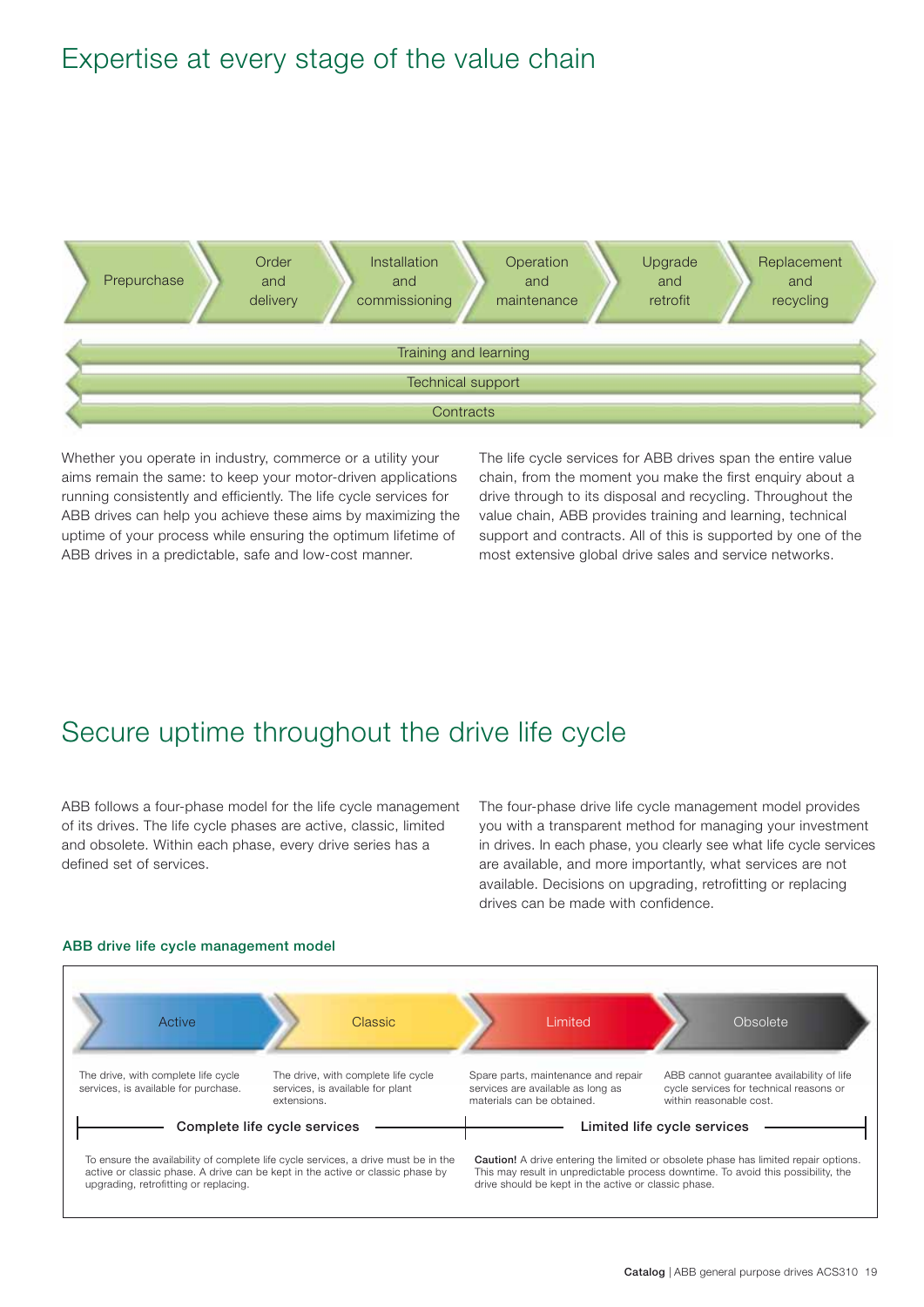## Expertise at every stage of the value chain



Whether you operate in industry, commerce or a utility your aims remain the same: to keep your motor-driven applications running consistently and efficiently. The life cycle services for ABB drives can help you achieve these aims by maximizing the uptime of your process while ensuring the optimum lifetime of ABB drives in a predictable, safe and low-cost manner.

The life cycle services for ABB drives span the entire value chain, from the moment you make the first enquiry about a drive through to its disposal and recycling. Throughout the value chain, ABB provides training and learning, technical support and contracts. All of this is supported by one of the most extensive global drive sales and service networks.

## Secure uptime throughout the drive life cycle

ABB follows a four-phase model for the life cycle management of its drives. The life cycle phases are active, classic, limited and obsolete. Within each phase, every drive series has a defined set of services.

The four-phase drive life cycle management model provides you with a transparent method for managing your investment in drives. In each phase, you clearly see what life cycle services are available, and more importantly, what services are not available. Decisions on upgrading, retrofitting or replacing drives can be made with confidence.



## **ABB drive life cycle management model**